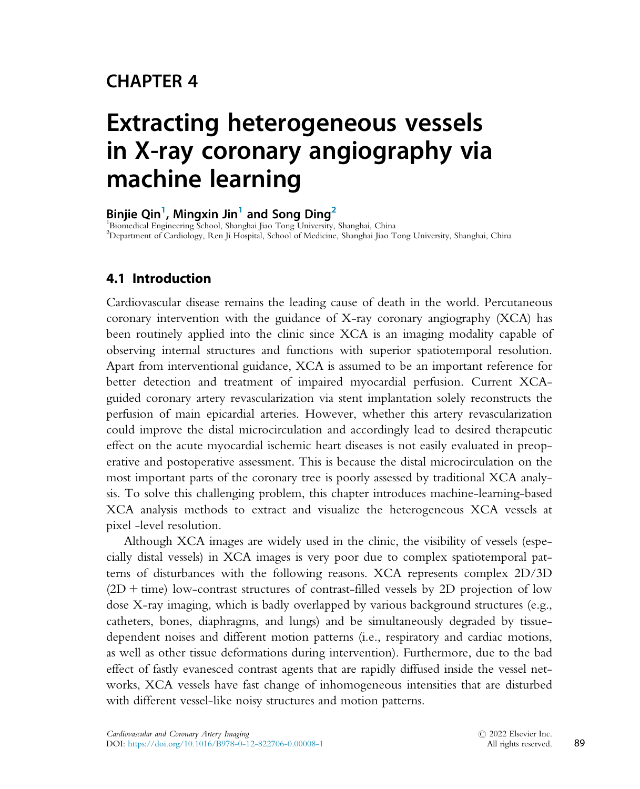## CHAPTER 4

# Extracting heterogeneous vessels in X-ray coronary angiography via machine learning

Binjie Qin<sup>1</sup>, Mingxin Jin<sup>1</sup> and Song Ding<sup>2</sup>

<sup>1</sup>Biomedical Engineering School, Shanghai Jiao Tong University, Shanghai, China 2 Department of Cardiology, Ren Ji Hospital, School of Medicine, Shanghai Jiao Tong University, Shanghai, China

## 4.1 Introduction

Cardiovascular disease remains the leading cause of death in the world. Percutaneous coronary intervention with the guidance of X-ray coronary angiography (XCA) has been routinely applied into the clinic since XCA is an imaging modality capable of observing internal structures and functions with superior spatiotemporal resolution. Apart from interventional guidance, XCA is assumed to be an important reference for better detection and treatment of impaired myocardial perfusion. Current XCAguided coronary artery revascularization via stent implantation solely reconstructs the perfusion of main epicardial arteries. However, whether this artery revascularization could improve the distal microcirculation and accordingly lead to desired therapeutic effect on the acute myocardial ischemic heart diseases is not easily evaluated in preoperative and postoperative assessment. This is because the distal microcirculation on the most important parts of the coronary tree is poorly assessed by traditional XCA analysis. To solve this challenging problem, this chapter introduces machine-learning-based XCA analysis methods to extract and visualize the heterogeneous XCA vessels at pixel -level resolution.

Although XCA images are widely used in the clinic, the visibility of vessels (especially distal vessels) in XCA images is very poor due to complex spatiotemporal patterns of disturbances with the following reasons. XCA represents complex 2D/3D  $(2D + time)$  low-contrast structures of contrast-filled vessels by 2D projection of low dose X-ray imaging, which is badly overlapped by various background structures (e.g., catheters, bones, diaphragms, and lungs) and be simultaneously degraded by tissuedependent noises and different motion patterns (i.e., respiratory and cardiac motions, as well as other tissue deformations during intervention). Furthermore, due to the bad effect of fastly evanesced contrast agents that are rapidly diffused inside the vessel networks, XCA vessels have fast change of inhomogeneous intensities that are disturbed with different vessel-like noisy structures and motion patterns.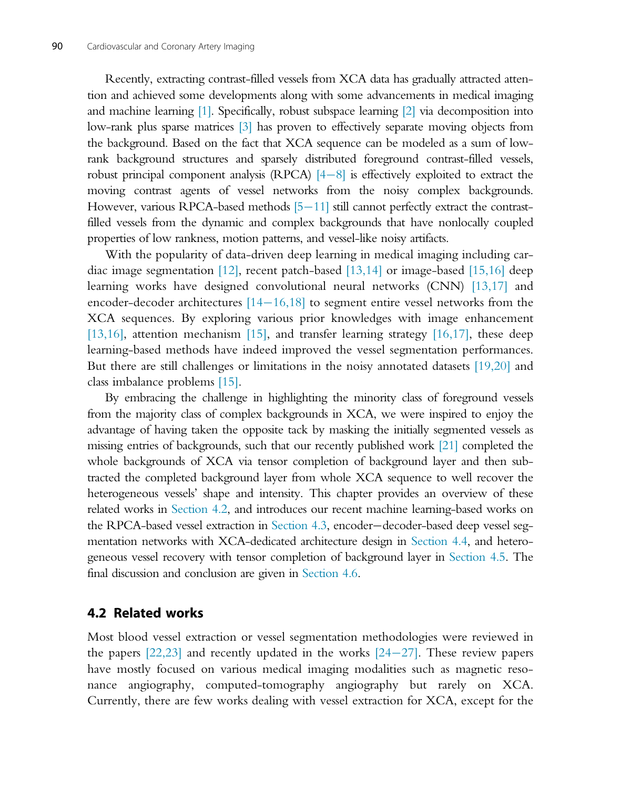Recently, extracting contrast-filled vessels from XCA data has gradually attracted attention and achieved some developments along with some advancements in medical imaging and machine learning [1]. Specifically, robust subspace learning [2] via decomposition into low-rank plus sparse matrices [3] has proven to effectively separate moving objects from the background. Based on the fact that XCA sequence can be modeled as a sum of lowrank background structures and sparsely distributed foreground contrast-filled vessels, robust principal component analysis (RPCA)  $[4-8]$  is effectively exploited to extract the moving contrast agents of vessel networks from the noisy complex backgrounds. However, various RPCA-based methods  $[5-11]$  still cannot perfectly extract the contrastfilled vessels from the dynamic and complex backgrounds that have nonlocally coupled properties of low rankness, motion patterns, and vessel-like noisy artifacts.

With the popularity of data-driven deep learning in medical imaging including cardiac image segmentation [12], recent patch-based [13,14] or image-based [15,16] deep learning works have designed convolutional neural networks (CNN) [13,17] and encoder-decoder architectures  $[14-16,18]$  to segment entire vessel networks from the XCA sequences. By exploring various prior knowledges with image enhancement [13,16], attention mechanism [15], and transfer learning strategy [16,17], these deep learning-based methods have indeed improved the vessel segmentation performances. But there are still challenges or limitations in the noisy annotated datasets [19,20] and class imbalance problems [15].

By embracing the challenge in highlighting the minority class of foreground vessels from the majority class of complex backgrounds in XCA, we were inspired to enjoy the advantage of having taken the opposite tack by masking the initially segmented vessels as missing entries of backgrounds, such that our recently published work [21] completed the whole backgrounds of XCA via tensor completion of background layer and then subtracted the completed background layer from whole XCA sequence to well recover the heterogeneous vessels' shape and intensity. This chapter provides an overview of these related works in Section 4.2, and introduces our recent machine learning-based works on the RPCA-based vessel extraction in Section 4.3, encoder-decoder-based deep vessel segmentation networks with XCA-dedicated architecture design in Section 4.4, and heterogeneous vessel recovery with tensor completion of background layer in Section 4.5. The final discussion and conclusion are given in Section 4.6.

#### 4.2 Related works

Most blood vessel extraction or vessel segmentation methodologies were reviewed in the papers  $[22,23]$  and recently updated in the works  $[24-27]$ . These review papers have mostly focused on various medical imaging modalities such as magnetic resonance angiography, computed-tomography angiography but rarely on XCA. Currently, there are few works dealing with vessel extraction for XCA, except for the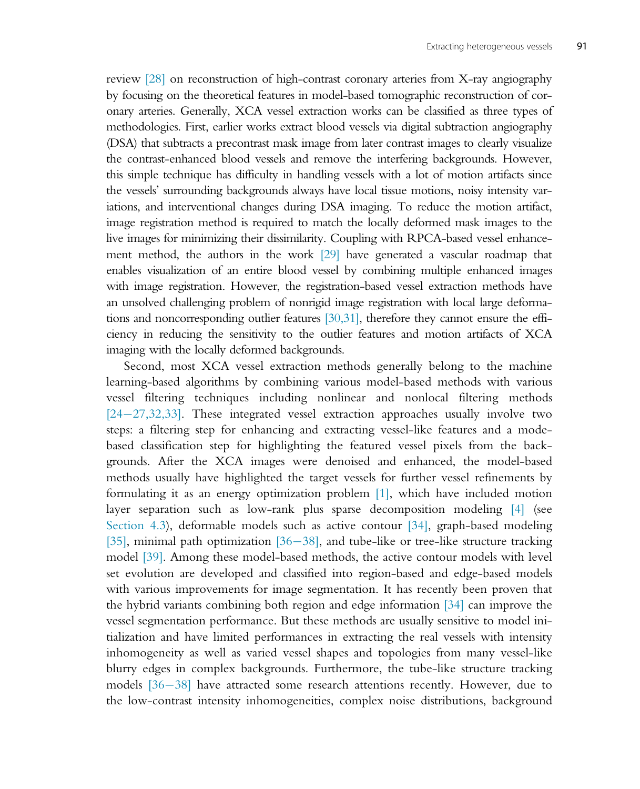review [28] on reconstruction of high-contrast coronary arteries from X-ray angiography by focusing on the theoretical features in model-based tomographic reconstruction of coronary arteries. Generally, XCA vessel extraction works can be classified as three types of methodologies. First, earlier works extract blood vessels via digital subtraction angiography (DSA) that subtracts a precontrast mask image from later contrast images to clearly visualize the contrast-enhanced blood vessels and remove the interfering backgrounds. However, this simple technique has difficulty in handling vessels with a lot of motion artifacts since the vessels' surrounding backgrounds always have local tissue motions, noisy intensity variations, and interventional changes during DSA imaging. To reduce the motion artifact, image registration method is required to match the locally deformed mask images to the live images for minimizing their dissimilarity. Coupling with RPCA-based vessel enhancement method, the authors in the work [29] have generated a vascular roadmap that enables visualization of an entire blood vessel by combining multiple enhanced images with image registration. However, the registration-based vessel extraction methods have an unsolved challenging problem of nonrigid image registration with local large deformations and noncorresponding outlier features [30,31], therefore they cannot ensure the efficiency in reducing the sensitivity to the outlier features and motion artifacts of XCA imaging with the locally deformed backgrounds.

Second, most XCA vessel extraction methods generally belong to the machine learning-based algorithms by combining various model-based methods with various vessel filtering techniques including nonlinear and nonlocal filtering methods  $[24-27,32,33]$ . These integrated vessel extraction approaches usually involve two steps: a filtering step for enhancing and extracting vessel-like features and a modebased classification step for highlighting the featured vessel pixels from the backgrounds. After the XCA images were denoised and enhanced, the model-based methods usually have highlighted the target vessels for further vessel refinements by formulating it as an energy optimization problem [1], which have included motion layer separation such as low-rank plus sparse decomposition modeling [4] (see Section 4.3), deformable models such as active contour [34], graph-based modeling [35], minimal path optimization [36-38], and tube-like or tree-like structure tracking model [39]. Among these model-based methods, the active contour models with level set evolution are developed and classified into region-based and edge-based models with various improvements for image segmentation. It has recently been proven that the hybrid variants combining both region and edge information [34] can improve the vessel segmentation performance. But these methods are usually sensitive to model initialization and have limited performances in extracting the real vessels with intensity inhomogeneity as well as varied vessel shapes and topologies from many vessel-like blurry edges in complex backgrounds. Furthermore, the tube-like structure tracking models  $[36-38]$  have attracted some research attentions recently. However, due to the low-contrast intensity inhomogeneities, complex noise distributions, background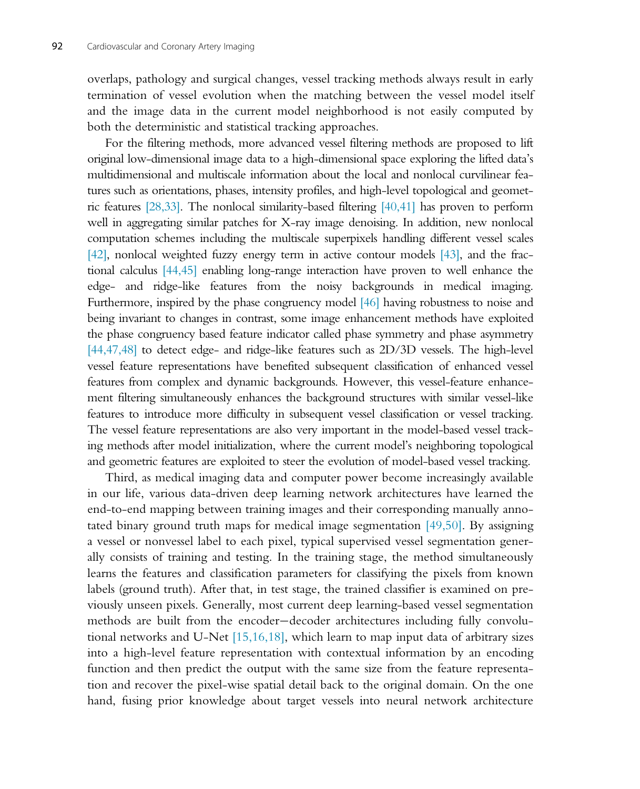overlaps, pathology and surgical changes, vessel tracking methods always result in early termination of vessel evolution when the matching between the vessel model itself and the image data in the current model neighborhood is not easily computed by both the deterministic and statistical tracking approaches.

For the filtering methods, more advanced vessel filtering methods are proposed to lift original low-dimensional image data to a high-dimensional space exploring the lifted data's multidimensional and multiscale information about the local and nonlocal curvilinear features such as orientations, phases, intensity profiles, and high-level topological and geometric features [28,33]. The nonlocal similarity-based filtering [40,41] has proven to perform well in aggregating similar patches for X-ray image denoising. In addition, new nonlocal computation schemes including the multiscale superpixels handling different vessel scales [42], nonlocal weighted fuzzy energy term in active contour models [43], and the fractional calculus [44,45] enabling long-range interaction have proven to well enhance the edge- and ridge-like features from the noisy backgrounds in medical imaging. Furthermore, inspired by the phase congruency model [46] having robustness to noise and being invariant to changes in contrast, some image enhancement methods have exploited the phase congruency based feature indicator called phase symmetry and phase asymmetry [44,47,48] to detect edge- and ridge-like features such as 2D/3D vessels. The high-level vessel feature representations have benefited subsequent classification of enhanced vessel features from complex and dynamic backgrounds. However, this vessel-feature enhancement filtering simultaneously enhances the background structures with similar vessel-like features to introduce more difficulty in subsequent vessel classification or vessel tracking. The vessel feature representations are also very important in the model-based vessel tracking methods after model initialization, where the current model's neighboring topological and geometric features are exploited to steer the evolution of model-based vessel tracking.

Third, as medical imaging data and computer power become increasingly available in our life, various data-driven deep learning network architectures have learned the end-to-end mapping between training images and their corresponding manually annotated binary ground truth maps for medical image segmentation [49,50]. By assigning a vessel or nonvessel label to each pixel, typical supervised vessel segmentation generally consists of training and testing. In the training stage, the method simultaneously learns the features and classification parameters for classifying the pixels from known labels (ground truth). After that, in test stage, the trained classifier is examined on previously unseen pixels. Generally, most current deep learning-based vessel segmentation methods are built from the encoder-decoder architectures including fully convolutional networks and U-Net [15,16,18], which learn to map input data of arbitrary sizes into a high-level feature representation with contextual information by an encoding function and then predict the output with the same size from the feature representation and recover the pixel-wise spatial detail back to the original domain. On the one hand, fusing prior knowledge about target vessels into neural network architecture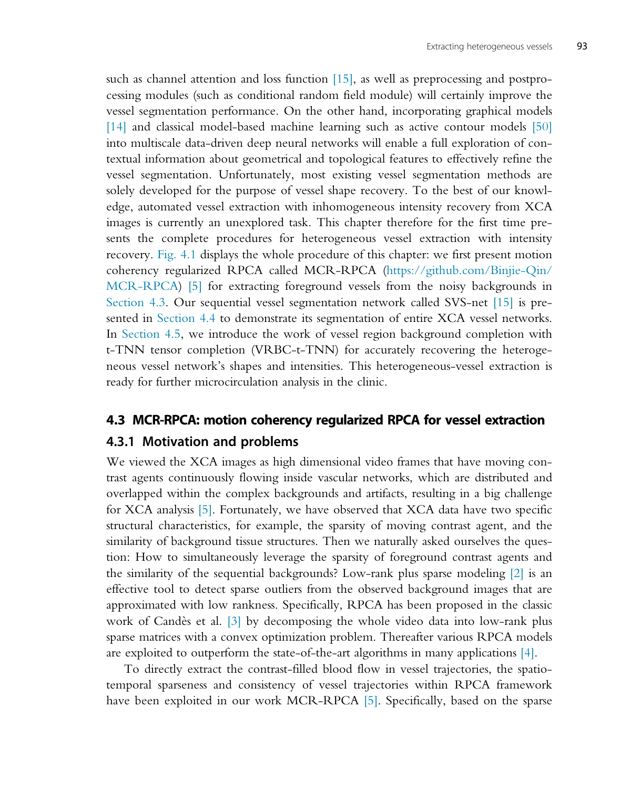such as channel attention and loss function [15], as well as preprocessing and postprocessing modules (such as conditional random field module) will certainly improve the vessel segmentation performance. On the other hand, incorporating graphical models [14] and classical model-based machine learning such as active contour models [50] into multiscale data-driven deep neural networks will enable a full exploration of contextual information about geometrical and topological features to effectively refine the vessel segmentation. Unfortunately, most existing vessel segmentation methods are solely developed for the purpose of vessel shape recovery. To the best of our knowledge, automated vessel extraction with inhomogeneous intensity recovery from XCA images is currently an unexplored task. This chapter therefore for the first time presents the complete procedures for heterogeneous vessel extraction with intensity recovery. Fig. 4.1 displays the whole procedure of this chapter: we first present motion coherency regularized RPCA called MCR-RPCA [\(https://github.com/Binjie-Qin/](https://github.com/Binjie-Qin/MCR-RPCA) [MCR-RPCA\)](https://github.com/Binjie-Qin/MCR-RPCA) [5] for extracting foreground vessels from the noisy backgrounds in Section 4.3. Our sequential vessel segmentation network called SVS-net [15] is presented in Section 4.4 to demonstrate its segmentation of entire XCA vessel networks. In Section 4.5, we introduce the work of vessel region background completion with t-TNN tensor completion (VRBC-t-TNN) for accurately recovering the heterogeneous vessel network's shapes and intensities. This heterogeneous-vessel extraction is ready for further microcirculation analysis in the clinic.

## 4.3 MCR-RPCA: motion coherency regularized RPCA for vessel extraction

#### 4.3.1 Motivation and problems

We viewed the XCA images as high dimensional video frames that have moving contrast agents continuously flowing inside vascular networks, which are distributed and overlapped within the complex backgrounds and artifacts, resulting in a big challenge for XCA analysis [5]. Fortunately, we have observed that XCA data have two specific structural characteristics, for example, the sparsity of moving contrast agent, and the similarity of background tissue structures. Then we naturally asked ourselves the question: How to simultaneously leverage the sparsity of foreground contrast agents and the similarity of the sequential backgrounds? Low-rank plus sparse modeling [2] is an effective tool to detect sparse outliers from the observed background images that are approximated with low rankness. Specifically, RPCA has been proposed in the classic work of Candès et al. [3] by decomposing the whole video data into low-rank plus sparse matrices with a convex optimization problem. Thereafter various RPCA models are exploited to outperform the state-of-the-art algorithms in many applications [4].

To directly extract the contrast-filled blood flow in vessel trajectories, the spatiotemporal sparseness and consistency of vessel trajectories within RPCA framework have been exploited in our work MCR-RPCA [5]. Specifically, based on the sparse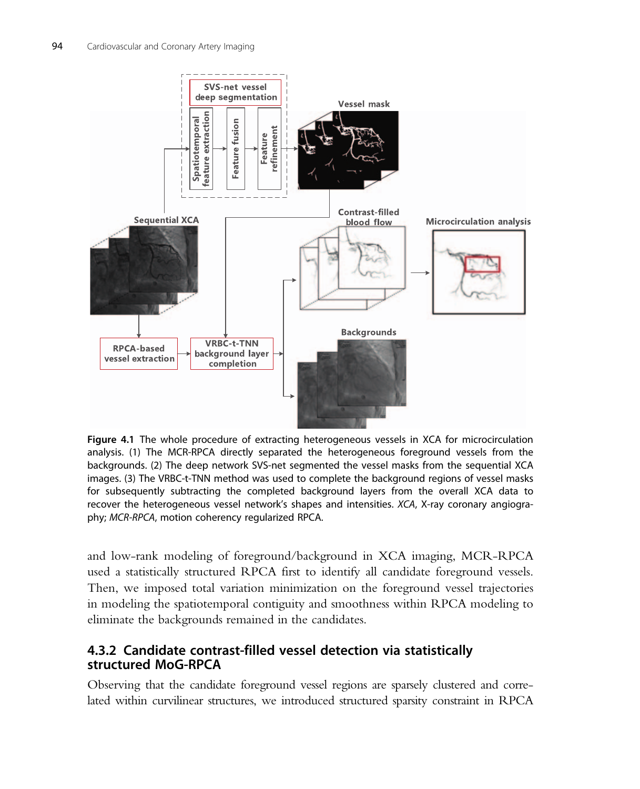

Figure 4.1 The whole procedure of extracting heterogeneous vessels in XCA for microcirculation analysis. (1) The MCR-RPCA directly separated the heterogeneous foreground vessels from the backgrounds. (2) The deep network SVS-net segmented the vessel masks from the sequential XCA images. (3) The VRBC-t-TNN method was used to complete the background regions of vessel masks for subsequently subtracting the completed background layers from the overall XCA data to recover the heterogeneous vessel network's shapes and intensities. XCA, X-ray coronary angiography; MCR-RPCA, motion coherency regularized RPCA.

and low-rank modeling of foreground/background in XCA imaging, MCR-RPCA used a statistically structured RPCA first to identify all candidate foreground vessels. Then, we imposed total variation minimization on the foreground vessel trajectories in modeling the spatiotemporal contiguity and smoothness within RPCA modeling to eliminate the backgrounds remained in the candidates.

## 4.3.2 Candidate contrast-filled vessel detection via statistically structured MoG-RPCA

Observing that the candidate foreground vessel regions are sparsely clustered and correlated within curvilinear structures, we introduced structured sparsity constraint in RPCA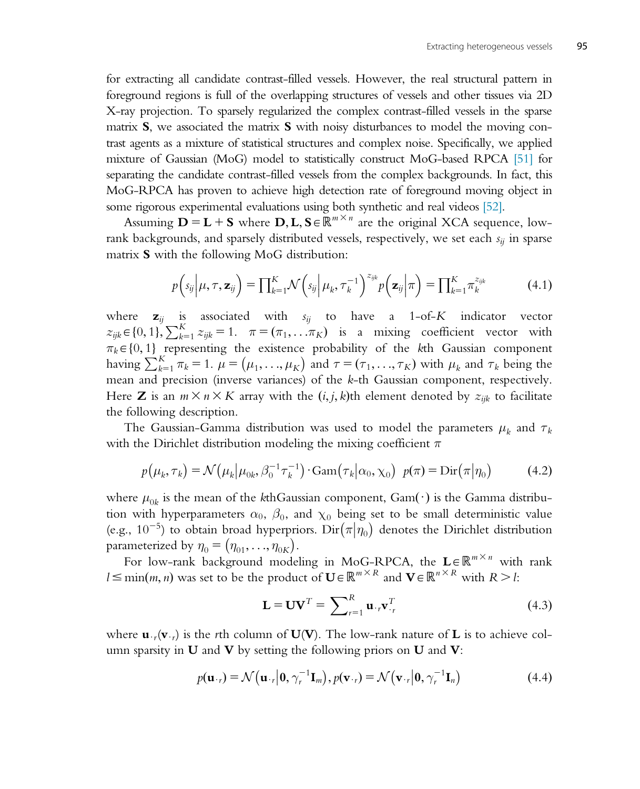for extracting all candidate contrast-filled vessels. However, the real structural pattern in foreground regions is full of the overlapping structures of vessels and other tissues via 2D X-ray projection. To sparsely regularized the complex contrast-filled vessels in the sparse matrix  $S$ , we associated the matrix  $S$  with noisy disturbances to model the moving contrast agents as a mixture of statistical structures and complex noise. Specifically, we applied mixture of Gaussian (MoG) model to statistically construct MoG-based RPCA [51] for separating the candidate contrast-filled vessels from the complex backgrounds. In fact, this MoG-RPCA has proven to achieve high detection rate of foreground moving object in some rigorous experimental evaluations using both synthetic and real videos [52].

Assuming  $\mathbf{D} = \mathbf{L} + \mathbf{S}$  where  $\mathbf{D}, \mathbf{L}, \mathbf{S} \in \mathbb{R}^{m \times n}$  are the original XCA sequence, lowrank backgrounds, and sparsely distributed vessels, respectively, we set each  $s_{ii}$  in sparse matrix S with the following MoG distribution:

$$
p\left(s_{ij}\middle|\mu,\tau,\mathbf{z}_{ij}\right)=\prod_{k=1}^K\mathcal{N}\left(s_{ij}\middle|\mu_k,\tau_k^{-1}\right)^{z_{ijk}}p\left(\mathbf{z}_{ij}\middle|\pi\right)=\prod_{k=1}^K\pi_k^{z_{ijk}}\tag{4.1}
$$

where  $z_{ij}$  is associated with  $s_{ij}$  to have a 1-of-K indicator vector  $z_{ijk} \in \{0, 1\}$ ,  $\sum_{k=1}^{K} z_{ijk} = 1$ .  $\pi = (\pi_1, \dots, \pi_K)$  is a mixing coefficient vector with  $\pi_i \in \{0, 1\}$  representing the existence probability of the lith Gaussian component  $\pi_k \in \{0, 1\}$  representing the existence probability of the kth Gaussian component having  $\sum_{k=1}^{K} \pi_k = 1$ .  $\mu = (\mu_1, ..., \mu_K)$  and  $\tau = (\tau_1, ..., \tau_K)$  with  $\mu_k$  and  $\tau_k$  being the mean and precision (inverse variances) of the k-th Gaussian component, respectively. Here **Z** is an  $m \times n \times K$  array with the  $(i, j, k)$ th element denoted by  $z_{ijk}$  to facilitate the following description.

The Gaussian-Gamma distribution was used to model the parameters  $\mu_k$  and  $\tau_k$ with the Dirichlet distribution modeling the mixing coefficient  $\pi$ 

$$
p(\mu_k, \tau_k) = \mathcal{N}(\mu_k | \mu_{0k}, \beta_0^{-1} \tau_k^{-1}) \cdot \text{Gam}(\tau_k | \alpha_0, \chi_0) \ \ p(\pi) = \text{Dir}(\pi | \eta_0)
$$
 (4.2)

where  $\mu_{0k}$  is the mean of the kthGaussian component, Gam( $\cdot$ ) is the Gamma distribution with hyperparameters  $\alpha_0$ ,  $\beta_0$ , and  $\chi_0$  being set to be small deterministic value (e.g.,  $10^{-5}$ ) to obtain broad hyperpriors. Dir $(\pi | \eta_0)$  denotes the Dirichlet distribution parameterized by  $\eta_0 = (\eta_{01}, \dots, \eta_{0K}).$ 

For low-rank background modeling in MoG-RPCA, the  $\mathbf{L} \in \mathbb{R}^{m \times n}$  with rank  $l \le \min(m, n)$  was set to be the product of  $\mathbf{U} \in \mathbb{R}^{m \times R}$  and  $\mathbf{V} \in \mathbb{R}^{n \times R}$  with  $R > l$ :

$$
\mathbf{L} = \mathbf{U}\mathbf{V}^T = \sum_{r=1}^R \mathbf{u}_{\cdot r} \mathbf{v}_{\cdot r}^T
$$
 (4.3)

where  $\mathbf{u}_{\cdot}(\mathbf{v}_{\cdot})$  is the rth column of  $\mathbf{U}(\mathbf{V})$ . The low-rank nature of L is to achieve column sparsity in  $U$  and  $V$  by setting the following priors on  $U$  and  $V$ :

$$
p(\mathbf{u}_{\cdot r}) = \mathcal{N}\big(\mathbf{u}_{\cdot r} \big| \mathbf{0}, \gamma_r^{-1} \mathbf{I}_m\big), p(\mathbf{v}_{\cdot r}) = \mathcal{N}\big(\mathbf{v}_{\cdot r} \big| \mathbf{0}, \gamma_r^{-1} \mathbf{I}_n\big) \tag{4.4}
$$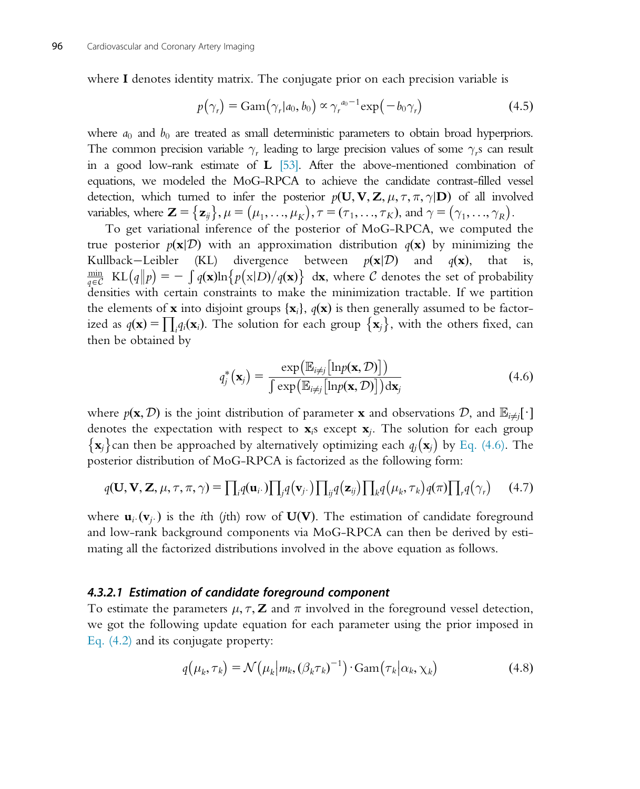where I denotes identity matrix. The conjugate prior on each precision variable is

$$
p(\gamma_r) = \text{Gam}(\gamma_r | a_0, b_0) \propto \gamma_r^{a_0 - 1} \exp(-b_0 \gamma_r)
$$
 (4.5)

where  $a_0$  and  $b_0$  are treated as small deterministic parameters to obtain broad hyperpriors. The common precision variable  $\gamma_r$  leading to large precision values of some  $\gamma_r$ s can result in a good low-rank estimate of  $\bf{L}$  [53]. After the above-mentioned combination of equations, we modeled the MoG-RPCA to achieve the candidate contrast-filled vessel detection, which turned to infer the posterior  $p(\mathbf{U}, \mathbf{V}, \mathbf{Z}, \mu, \tau, \pi, \gamma | \mathbf{D})$  of all involved variables, where  $\mathbf{Z} = {\mathbf{z}_j, \mu = (\mu_1, ..., \mu_K), \tau = (\tau_1, ..., \tau_K)}$ , and  $\gamma = (\gamma_1, ..., \gamma_K)$ .<br>To get variational inference of the posterior of MoG B BCA, we computed

To get variational inference of the posterior of MoG-RPCA, we computed the true posterior  $p(\mathbf{x}|\mathcal{D})$  with an approximation distribution  $q(\mathbf{x})$  by minimizing the Kullback—Leibler (KL) divergence between  $p(\mathbf{x}|\mathcal{D})$  and  $q(\mathbf{x})$ , that is, Kullback–Leibler (KL) divergence between  $p(\mathbf{x}|\mathcal{D})$  and  $q(\mathbf{x})$ ,  $\frac{\text{min}}{q \in \mathcal{C}}$  KL $\left(\frac{q}{p}\right) = -\int_{\mathcal{C}} q(\mathbf{x}) \ln \left\{p(\mathbf{x}|D)/q(\mathbf{x})\right\}$  dx, where C denotes the set of probability densities with certain constraints to make the minimization tractable. If we partition the elements of **x** into disjoint groups  $\{x_i\}$ ,  $q(\mathbf{x})$  is then generally assumed to be factorized as  $q(\mathbf{x}) = \prod_i q_i(\mathbf{x}_i)$ . The solution for each group  $\{\mathbf{x}_j\}$ , with the others fixed, can<br>then be obtained by then be obtained by

$$
q_j^*(\mathbf{x}_j) = \frac{\exp\left(\mathbb{E}_{i \neq j}[\ln p(\mathbf{x}, \mathcal{D})]\right)}{\int \exp\left(\mathbb{E}_{i \neq j}[\ln p(\mathbf{x}, \mathcal{D})]\right) d\mathbf{x}_j}
$$
(4.6)

where  $p(\mathbf{x}, \mathcal{D})$  is the joint distribution of parameter **x** and observations  $\mathcal{D}$ , and  $\mathbb{E}_{i\neq j}[\cdot]$ denotes the expectation with respect to  $\mathbf{x}_i$  except  $\mathbf{x}_i$ . The solution for each group  $\{x_j\}$ can then be approached by alternatively optimizing each  $q_j(x_j)$  by Eq. (4.6). The posterior distribution of MoG-RPCA is factorized as the following form:

$$
q(\mathbf{U}, \mathbf{V}, \mathbf{Z}, \mu, \tau, \pi, \gamma) = \prod_i q(\mathbf{u}_i \cdot) \prod_j q(\mathbf{v}_j \cdot) \prod_{ij} q(\mathbf{z}_{ij}) \prod_k q(\mu_k, \tau_k) q(\pi) \prod_r q(\gamma_r) \tag{4.7}
$$

where  $\mathbf{u}_i\cdot(\mathbf{v}_i)$  is the *i*th (*j*th) row of  $\mathbf{U}(\mathbf{V})$ . The estimation of candidate foreground and low-rank background components via MoG-RPCA can then be derived by estimating all the factorized distributions involved in the above equation as follows.

#### 4.3.2.1 Estimation of candidate foreground component

To estimate the parameters  $\mu$ ,  $\tau$ ,  $\mathbf{Z}$  and  $\pi$  involved in the foreground vessel detection, we got the following update equation for each parameter using the prior imposed in Eq. (4.2) and its conjugate property:

$$
q(\mu_k, \tau_k) = \mathcal{N}(\mu_k | m_k, (\beta_k \tau_k)^{-1}) \cdot \text{Gam}(\tau_k | \alpha_k, \chi_k)
$$
\n(4.8)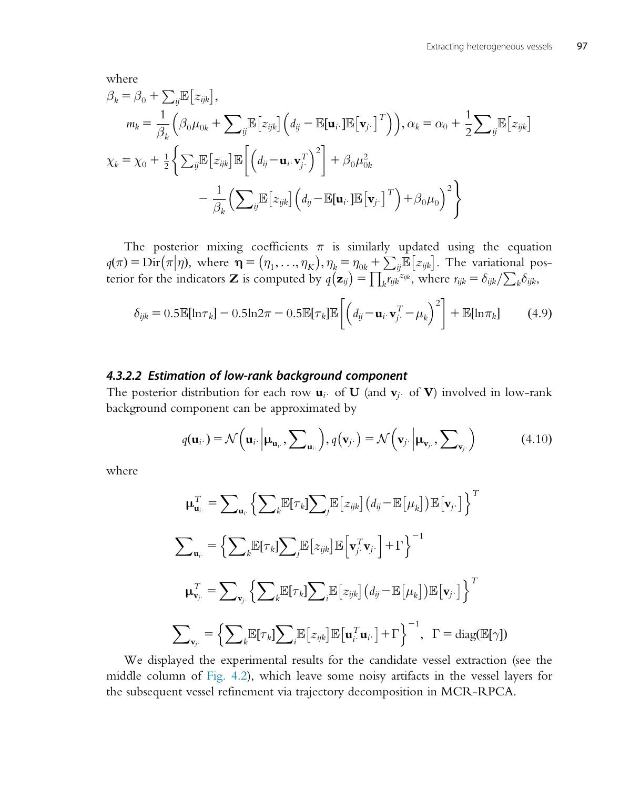where

$$
\beta_k = \beta_0 + \sum_{ij} \mathbb{E} \left[ z_{ijk} \right],
$$
\n
$$
m_k = \frac{1}{\beta_k} \left( \beta_0 \mu_{0k} + \sum_{ij} \mathbb{E} \left[ z_{ijk} \right] \left( d_{ij} - \mathbb{E}[\mathbf{u}_i \cdot] \mathbb{E} \left[ \mathbf{v}_j \cdot \right]^T \right) \right), \alpha_k = \alpha_0 + \frac{1}{2} \sum_{ij} \mathbb{E} \left[ z_{ijk} \right]
$$
\n
$$
\chi_k = \chi_0 + \frac{1}{2} \left\{ \sum_{ij} \mathbb{E} \left[ z_{ijk} \right] \mathbb{E} \left[ \left( d_{ij} - \mathbf{u}_i \cdot \mathbf{v}_j^T \right)^2 \right] + \beta_0 \mu_{0k}^2 - \frac{1}{\beta_k} \left( \sum_{ij} \mathbb{E} \left[ z_{ijk} \right] \left( d_{ij} - \mathbb{E}[\mathbf{u}_i \cdot] \mathbb{E} \left[ \mathbf{v}_j \cdot \right]^T \right) + \beta_0 \mu_0 \right)^2 \right\}
$$

The posterior mixing coefficients  $\pi$  is similarly updated using the equation  $q(\pi) = \text{Dir}(\pi|\eta)$ , where  $\eta = (\eta_1, ..., \eta_K)$ ,  $\eta_k = \eta_{0k} + \sum_{ij} \mathbb{E} [z_{ijk}]$ . The variational pos-<br>terior for the indicators **7** is computed by  $q(\pi) = \prod_{k} \min_{k} \mathbb{E} [z_{ijk}]$ . Where  $\eta_k = \delta_{kk} / \sum_{k} \delta_{kk}$ terior for the indicators **Z** is computed by  $q(\mathbf{z}_{ij}) = \prod_k r_{ijk} e^{i j k}$ , where  $r_{ijk} = \delta_{ijk} / \sum_k \delta_{ijk}$ ,

$$
\delta_{ijk} = 0.5\mathbb{E}[\ln \tau_k] - 0.5\ln 2\pi - 0.5\mathbb{E}[\tau_k]\mathbb{E}\left[\left(d_{ij} - \mathbf{u}_i \cdot \mathbf{v}_j^T - \mu_k\right)^2\right] + \mathbb{E}[\ln \pi_k] \tag{4.9}
$$

#### 4.3.2.2 Estimation of low-rank background component

The posterior distribution for each row  $\mathbf{u}_i$  of U (and  $\mathbf{v}_i$  of V) involved in low-rank background component can be approximated by

$$
q(\mathbf{u}_{i\cdot}) = \mathcal{N}\Big(\mathbf{u}_{i\cdot}\Big|\mathbf{\mu}_{\mathbf{u}_{i\cdot}}, \sum_{\mathbf{u}_{i\cdot}}\Big), q(\mathbf{v}_{j\cdot}) = \mathcal{N}\Big(\mathbf{v}_{j\cdot}\Big|\mathbf{\mu}_{\mathbf{v}_{j\cdot}}, \sum_{\mathbf{v}_{j\cdot}}\Big) \tag{4.10}
$$

where

$$
\mu_{\mathbf{u}_i}^T = \sum_{\mathbf{u}_i} \left\{ \sum_k \mathbb{E}[\tau_k] \sum_j \mathbb{E} \left[ z_{ijk} \right] \left( d_{ij} - \mathbb{E} \left[ \mu_k \right] \right) \mathbb{E} \left[ \mathbf{v}_j \cdot \right] \right\}^T
$$
  

$$
\sum_{\mathbf{u}_i} = \left\{ \sum_k \mathbb{E}[\tau_k] \sum_j \mathbb{E} \left[ z_{ijk} \right] \mathbb{E} \left[ \mathbf{v}_j^T \mathbf{v}_j \cdot \right] + \Gamma \right\}^{-1}
$$
  

$$
\mu_{\mathbf{v}_j}^T = \sum_{\mathbf{v}_j} \left\{ \sum_k \mathbb{E}[\tau_k] \sum_i \mathbb{E} \left[ z_{ijk} \right] \left( d_{ij} - \mathbb{E} \left[ \mu_k \right] \right) \mathbb{E} \left[ \mathbf{v}_j \cdot \right] \right\}^T
$$
  

$$
\sum_{\mathbf{v}_j} = \left\{ \sum_k \mathbb{E}[\tau_k] \sum_i \mathbb{E} \left[ z_{ijk} \right] \mathbb{E} \left[ \mathbf{u}_i^T \mathbf{u}_i \cdot \right] + \Gamma \right\}^{-1}, \ \Gamma = \text{diag}(\mathbb{E}[\gamma])
$$

We displayed the experimental results for the candidate vessel extraction (see the middle column of Fig. 4.2), which leave some noisy artifacts in the vessel layers for the subsequent vessel refinement via trajectory decomposition in MCR-RPCA.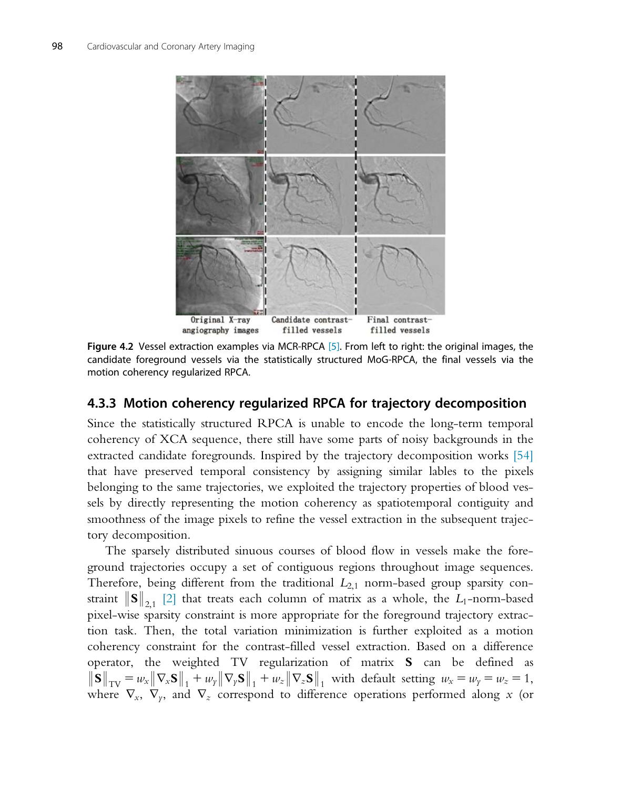

Figure 4.2 Vessel extraction examples via MCR-RPCA [5]. From left to right: the original images, the candidate foreground vessels via the statistically structured MoG-RPCA, the final vessels via the motion coherency regularized RPCA.

## 4.3.3 Motion coherency regularized RPCA for trajectory decomposition

Since the statistically structured RPCA is unable to encode the long-term temporal coherency of XCA sequence, there still have some parts of noisy backgrounds in the extracted candidate foregrounds. Inspired by the trajectory decomposition works [54] that have preserved temporal consistency by assigning similar lables to the pixels belonging to the same trajectories, we exploited the trajectory properties of blood vessels by directly representing the motion coherency as spatiotemporal contiguity and smoothness of the image pixels to refine the vessel extraction in the subsequent trajectory decomposition.

The sparsely distributed sinuous courses of blood flow in vessels make the foreground trajectories occupy a set of contiguous regions throughout image sequences. Therefore, being different from the traditional  $L_{2,1}$  norm-based group sparsity constraint  $\|\mathbf{S}\|_{2,1}$  [2] that treats each column of matrix as a whole, the L<sub>1</sub>-norm-based pixel-wise sparsity constraint is more appropriate for the foreground trajectory extraction task. Then, the total variation minimization is further exploited as a motion coherency constraint for the contrast-filled vessel extraction. Based on a difference operator, the weighted TV regularization of matrix S can be defined as  $\|\mathbf{S}\|_{\text{TV}} = w_x \|\nabla_x \mathbf{S}\|_1 + w_y \|\nabla_y \mathbf{S}\|_1 + w_z \|\nabla_z \mathbf{S}\|_1$  with default setting  $w_x = w_y = w_z = 1$ , where  $\nabla_x$ ,  $\nabla_y$ , and  $\nabla_z$  correspond to difference operations performed along x (or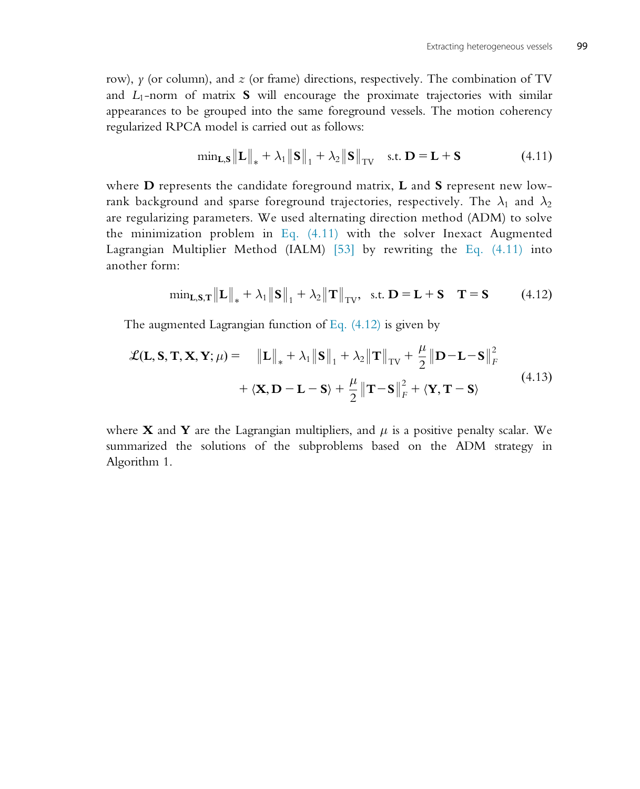row),  $\gamma$  (or column), and  $z$  (or frame) directions, respectively. The combination of TV and  $L_1$ -norm of matrix **S** will encourage the proximate trajectories with similar appearances to be grouped into the same foreground vessels. The motion coherency regularized RPCA model is carried out as follows:

$$
\min_{\mathbf{L},\mathbf{S}} \|\mathbf{L}\|_{*} + \lambda_{1} \|\mathbf{S}\|_{1} + \lambda_{2} \|\mathbf{S}\|_{TV} \quad \text{s.t. } \mathbf{D} = \mathbf{L} + \mathbf{S}
$$
 (4.11)

where  **represents the candidate foreground matrix,**  $**L**$  **and**  $**S**$  **represent new low**rank background and sparse foreground trajectories, respectively. The  $\lambda_1$  and  $\lambda_2$ are regularizing parameters. We used alternating direction method (ADM) to solve the minimization problem in Eq. (4.11) with the solver Inexact Augmented Lagrangian Multiplier Method (IALM) [53] by rewriting the Eq. (4.11) into another form:

$$
\min_{\mathbf{L},\mathbf{S},\mathbf{T}} \|\mathbf{L}\|_{*} + \lambda_{1} \|\mathbf{S}\|_{1} + \lambda_{2} \|\mathbf{T}\|_{TV}, \text{ s.t. } \mathbf{D} = \mathbf{L} + \mathbf{S} \quad \mathbf{T} = \mathbf{S} \tag{4.12}
$$

The augmented Lagrangian function of Eq. (4.12) is given by

$$
\mathcal{L}(\mathbf{L}, \mathbf{S}, \mathbf{T}, \mathbf{X}, \mathbf{Y}; \mu) = \|\mathbf{L}\|_{*} + \lambda_{1} \|\mathbf{S}\|_{1} + \lambda_{2} \|\mathbf{T}\|_{TV} + \frac{\mu}{2} \|\mathbf{D} - \mathbf{L} - \mathbf{S}\|_{F}^{2} + \langle \mathbf{X}, \mathbf{D} - \mathbf{L} - \mathbf{S} \rangle + \frac{\mu}{2} \|\mathbf{T} - \mathbf{S}\|_{F}^{2} + \langle \mathbf{Y}, \mathbf{T} - \mathbf{S} \rangle
$$
\n(4.13)

where **X** and **Y** are the Lagrangian multipliers, and  $\mu$  is a positive penalty scalar. We summarized the solutions of the subproblems based on the ADM strategy in Algorithm 1.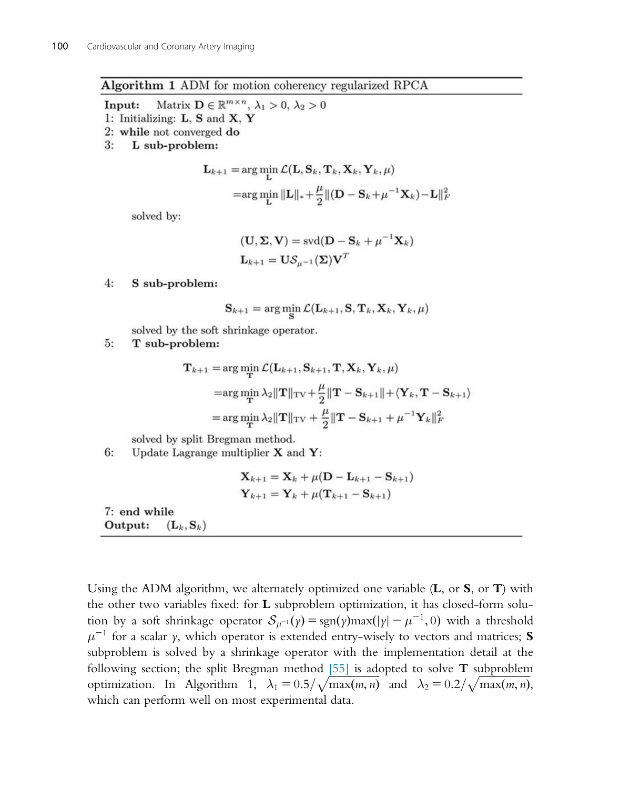#### Algorithm 1 ADM for motion coherency regularized RPCA

Matrix  $\mathbf{D} \in \mathbb{R}^{m \times n}$ ,  $\lambda_1 > 0$ ,  $\lambda_2 > 0$ Input:

1: Initializing: L, S and X, Y

- 2: while not converged do
- $3:$ L sub-problem:

$$
\mathbf{L}_{k+1} = \arg\min_{\mathbf{L}} \mathcal{L}(\mathbf{L}, \mathbf{S}_k, \mathbf{T}_k, \mathbf{X}_k, \mathbf{Y}_k, \mu)
$$
  
=
$$
\arg\min_{\mathbf{L}} \|\mathbf{L}\|_{*} + \frac{\mu}{2} \|(\mathbf{D} - \mathbf{S}_k + \mu^{-1} \mathbf{X}_k) - \mathbf{L}\|_{k}^{2}
$$

solved by:

$$
(\mathbf{U}, \Sigma, \mathbf{V}) = \text{svd}(\mathbf{D} - \mathbf{S}_k + \mu^{-1} \mathbf{X}_k)
$$

$$
\mathbf{L}_{k+1} = \mathbf{U} \mathcal{S}_{\mu-1}(\Sigma) \mathbf{V}^T
$$

 $4:$ S sub-problem:

$$
\mathbf{S}_{k+1} = \arg\min_{\mathbf{C}} \mathcal{L}(\mathbf{L}_{k+1}, \mathbf{S}, \mathbf{T}_k, \mathbf{X}_k, \mathbf{Y}_k, \mu)
$$

solved by the soft shrinkage operator.

 $5:$ T sub-problem:

$$
\mathbf{T}_{k+1} = \arg\min_{\mathbf{T}} \mathcal{L}(\mathbf{L}_{k+1}, \mathbf{S}_{k+1}, \mathbf{T}, \mathbf{X}_k, \mathbf{Y}_k, \mu)
$$
  
\n
$$
= \arg\min_{\mathbf{T}} \lambda_2 ||\mathbf{T}||_{\text{TV}} + \frac{\mu}{2} ||\mathbf{T} - \mathbf{S}_{k+1}|| + \langle \mathbf{Y}_k, \mathbf{T} - \mathbf{S}_{k+1} \rangle
$$
  
\n
$$
= \arg\min_{\mathbf{T}} \lambda_2 ||\mathbf{T}||_{\text{TV}} + \frac{\mu}{2} ||\mathbf{T} - \mathbf{S}_{k+1} + \mu^{-1} \mathbf{Y}_k||_F^2
$$

solved by split Bregman method.

6: Update Lagrange multiplier  $X$  and  $Y$ :

$$
\mathbf{X}_{k+1} = \mathbf{X}_k + \mu(\mathbf{D} - \mathbf{L}_{k+1} - \mathbf{S}_{k+1})
$$
  

$$
\mathbf{Y}_{k+1} = \mathbf{Y}_k + \mu(\mathbf{T}_{k+1} - \mathbf{S}_{k+1})
$$

7: end while Output:  $(\mathbf{L}_k, \mathbf{S}_k)$ 

Using the ADM algorithm, we alternately optimized one variable  $(L, \text{ or } S, \text{ or } T)$  with the other two variables fixed: for L subproblem optimization, it has closed-form solution by a soft shrinkage operator  $S_{\mu^{-1}}(\gamma) = \text{sgn}(\gamma) \text{max}(|\gamma| - \mu^{-1}, 0)$  with a threshold  $\mu^{-1}$  for a scalar y, which operator is extended entry-wisely to vectors and matrices; S subproblem is solved by a shrinkage operator with the implementation detail at the following section; the split Bregman method  $[55]$  is adopted to solve **T** subproblem optimization. In Algorithm 1,  $\lambda_1 = 0.5/\sqrt{\max(m, n)}$  and  $\lambda_2 = 0.2/\sqrt{\max(m, n)}$ , which can perform well on most experimental data.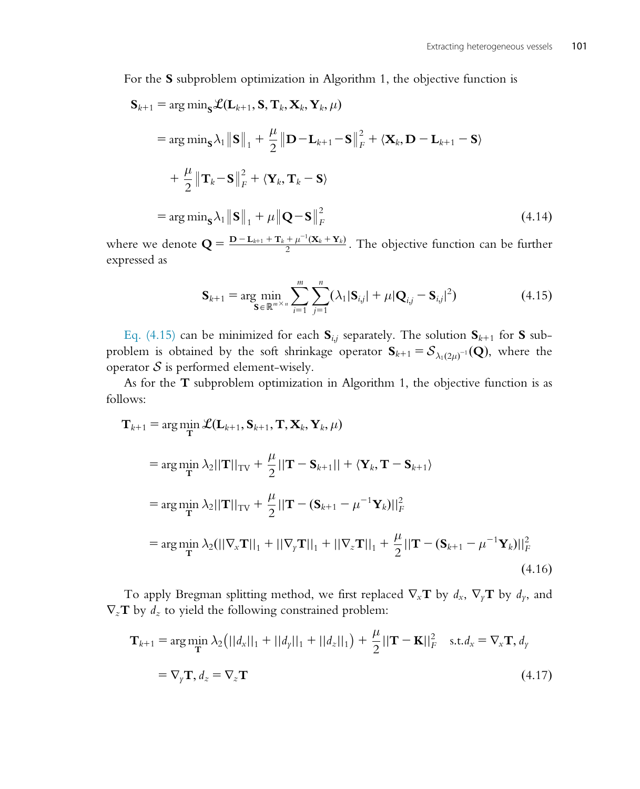For the S subproblem optimization in Algorithm 1, the objective function is

$$
\mathbf{S}_{k+1} = \arg \min_{\mathbf{S}} \mathcal{L}(\mathbf{L}_{k+1}, \mathbf{S}, \mathbf{T}_k, \mathbf{X}_k, \mathbf{Y}_k, \mu)
$$
  
\n
$$
= \arg \min_{\mathbf{S}} \lambda_1 \|\mathbf{S}\|_1 + \frac{\mu}{2} \|\mathbf{D} - \mathbf{L}_{k+1} - \mathbf{S}\|_F^2 + \langle \mathbf{X}_k, \mathbf{D} - \mathbf{L}_{k+1} - \mathbf{S} \rangle
$$
  
\n
$$
+ \frac{\mu}{2} \|\mathbf{T}_k - \mathbf{S}\|_F^2 + \langle \mathbf{Y}_k, \mathbf{T}_k - \mathbf{S} \rangle
$$
  
\n
$$
= \arg \min_{\mathbf{S}} \lambda_1 \|\mathbf{S}\|_1 + \mu \|\mathbf{Q} - \mathbf{S}\|_F^2
$$
 (4.14)

where we denote  $\mathbf{Q} = \frac{\mathbf{D} - \mathbf{L}_{k+1} + \mathbf{T}_k + \mu^{-1}(\mathbf{X}_k + \mathbf{Y}_k)}{2}$ . The objective function can be further expressed as

$$
\mathbf{S}_{k+1} = \arg\min_{\mathbf{S} \in \mathbb{R}^{m \times n}} \sum_{i=1}^{m} \sum_{j=1}^{n} (\lambda_1 |\mathbf{S}_{i,j}| + \mu |\mathbf{Q}_{i,j} - \mathbf{S}_{i,j}|^2)
$$
(4.15)

Eq. (4.15) can be minimized for each  $S_{i,j}$  separately. The solution  $S_{k+1}$  for S subproblem is obtained by the soft shrinkage operator  $S_{k+1} = S_{\lambda_1(2\mu)^{-1}}(Q)$ , where the operator  $S$  is performed element-wisely.

As for the  $\bf{T}$  subproblem optimization in Algorithm 1, the objective function is as follows:

$$
\mathbf{T}_{k+1} = \arg \min_{\mathbf{T}} \mathcal{L}(\mathbf{L}_{k+1}, \mathbf{S}_{k+1}, \mathbf{T}, \mathbf{X}_k, \mathbf{Y}_k, \mu)
$$
  
\n
$$
= \arg \min_{\mathbf{T}} \lambda_2 ||\mathbf{T}||_{\text{TV}} + \frac{\mu}{2} ||\mathbf{T} - \mathbf{S}_{k+1}|| + \langle \mathbf{Y}_k, \mathbf{T} - \mathbf{S}_{k+1} \rangle
$$
  
\n
$$
= \arg \min_{\mathbf{T}} \lambda_2 ||\mathbf{T}||_{\text{TV}} + \frac{\mu}{2} ||\mathbf{T} - (\mathbf{S}_{k+1} - \mu^{-1} \mathbf{Y}_k)||_F^2
$$
  
\n
$$
= \arg \min_{\mathbf{T}} \lambda_2 (||\nabla_x \mathbf{T}||_1 + ||\nabla_y \mathbf{T}||_1 + ||\nabla_z \mathbf{T}||_1 + \frac{\mu}{2} ||\mathbf{T} - (\mathbf{S}_{k+1} - \mu^{-1} \mathbf{Y}_k)||_F^2
$$
  
\n(4.16)

To apply Bregman splitting method, we first replaced  $\nabla_x \mathbf{T}$  by  $d_x$ ,  $\nabla_y \mathbf{T}$  by  $d_y$ , and  $\nabla_z \mathbf{T}$  by  $d_z$  to yield the following constrained problem:

$$
\mathbf{T}_{k+1} = \arg\min_{\mathbf{T}} \lambda_2 \left( ||d_x||_1 + ||d_y||_1 + ||d_z||_1 \right) + \frac{\mu}{2} ||\mathbf{T} - \mathbf{K}||_F^2 \quad \text{s.t.} \, d_x = \nabla_x \mathbf{T}, \, d_y
$$
\n
$$
= \nabla_y \mathbf{T}, \, d_z = \nabla_z \mathbf{T} \tag{4.17}
$$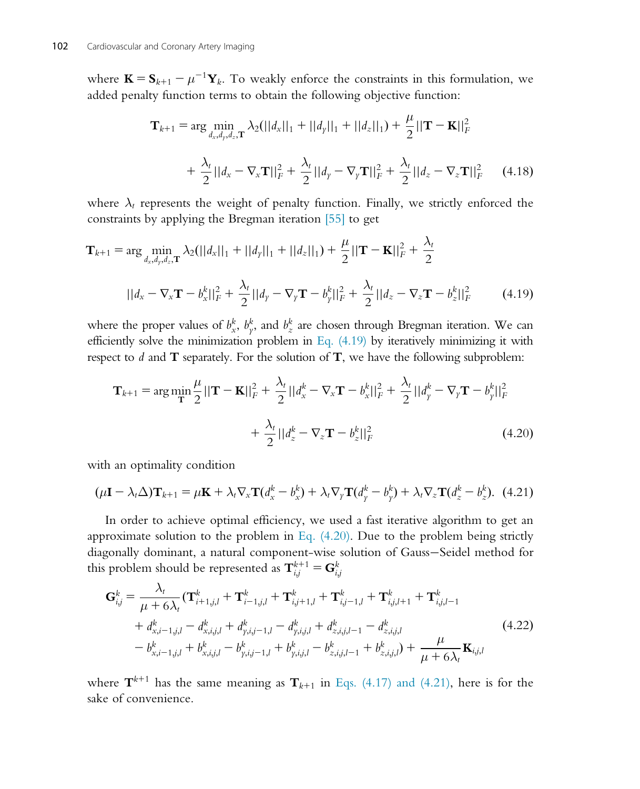where  $\mathbf{K} = \mathbf{S}_{k+1} - \mu^{-1}\mathbf{Y}_k$ . To weakly enforce the constraints in this formulation, we added penalty function terms to obtain the following objective function:

$$
\mathbf{T}_{k+1} = \arg \min_{d_x, d_y, d_z, \mathbf{T}} \lambda_2 (||d_x||_1 + ||d_y||_1 + ||d_z||_1) + \frac{\mu}{2} ||\mathbf{T} - \mathbf{K}||_F^2
$$
  
+  $\frac{\lambda_t}{2} ||d_x - \nabla_x \mathbf{T}||_F^2 + \frac{\lambda_t}{2} ||d_y - \nabla_y \mathbf{T}||_F^2 + \frac{\lambda_t}{2} ||d_z - \nabla_z \mathbf{T}||_F^2$  (4.18)

where  $\lambda_t$  represents the weight of penalty function. Finally, we strictly enforced the constraints by applying the Bregman iteration [55] to get

$$
\mathbf{T}_{k+1} = \arg \min_{d_x, d_y, d_z, \mathbf{T}} \lambda_2 (||d_x||_1 + ||d_y||_1 + ||d_z||_1) + \frac{\mu}{2} ||\mathbf{T} - \mathbf{K}||_F^2 + \frac{\lambda_t}{2}
$$
  
 
$$
||d_x - \nabla_x \mathbf{T} - b_x^k||_F^2 + \frac{\lambda_t}{2} ||d_y - \nabla_y \mathbf{T} - b_y^k||_F^2 + \frac{\lambda_t}{2} ||d_z - \nabla_z \mathbf{T} - b_z^k||_F^2
$$
 (4.19)

where the proper values of  $b_x^k$ ,  $b_y^k$ , and  $b_z^k$  are chosen through Bregman iteration. We can efficiently solve the minimization problem in Eq.  $(4.19)$  by iteratively minimizing it with respect to  $d$  and  $T$  separately. For the solution of  $T$ , we have the following subproblem:

$$
\mathbf{T}_{k+1} = \arg \min_{\mathbf{T}} \frac{\mu}{2} ||\mathbf{T} - \mathbf{K}||_F^2 + \frac{\lambda_t}{2} ||d_x^k - \nabla_x \mathbf{T} - b_x^k||_F^2 + \frac{\lambda_t}{2} ||d_y^k - \nabla_y \mathbf{T} - b_y^k||_F^2
$$
  
+  $\frac{\lambda_t}{2} ||d_z^k - \nabla_z \mathbf{T} - b_z^k||_F^2$  (4.20)

with an optimality condition

$$
(\mu \mathbf{I} - \lambda_t \Delta) \mathbf{T}_{k+1} = \mu \mathbf{K} + \lambda_t \nabla_x \mathbf{T} (d_x^k - b_x^k) + \lambda_t \nabla_y \mathbf{T} (d_y^k - b_y^k) + \lambda_t \nabla_z \mathbf{T} (d_z^k - b_z^k). \tag{4.21}
$$

In order to achieve optimal efficiency, we used a fast iterative algorithm to get an approximate solution to the problem in Eq.  $(4.20)$ . Due to the problem being strictly diagonally dominant, a natural component-wise solution of Gauss-Seidel method for this problem should be represented as  $\mathbf{T}^{k+1}_{i,j} = \mathbf{G}^{k}_{i,j}$ 

$$
\mathbf{G}_{i,j}^{k} = \frac{\lambda_{t}}{\mu + 6\lambda_{t}} (\mathbf{T}_{i+1,j,l}^{k} + \mathbf{T}_{i-1,j,l}^{k} + \mathbf{T}_{i,j+1,l}^{k} + \mathbf{T}_{i,j-1,l}^{k} + \mathbf{T}_{i,j,l+1}^{k} + \mathbf{T}_{i,j,l-1}^{k} + d_{x,i-1,j,l}^{k} - d_{x,i,j,l}^{k} + d_{y,i,j-1,l}^{k} - d_{y,i,j,l}^{k} + d_{z,i,j,l-1}^{k} - d_{z,i,j,l}^{k} - b_{x,i-1,j,l}^{k} + b_{x,i,j,l}^{k} - b_{y,i,j-1,l}^{k} + b_{y,i,j,l}^{k} - b_{z,i,j,l-1}^{k} + b_{z,i,j,l}^{k}) + \frac{\mu}{\mu + 6\lambda_{t}} \mathbf{K}_{i,j,l}
$$
\n(4.22)

where  $\mathbf{T}^{k+1}$  has the same meaning as  $\mathbf{T}_{k+1}$  in Eqs. (4.17) and (4.21), here is for the sake of convenience.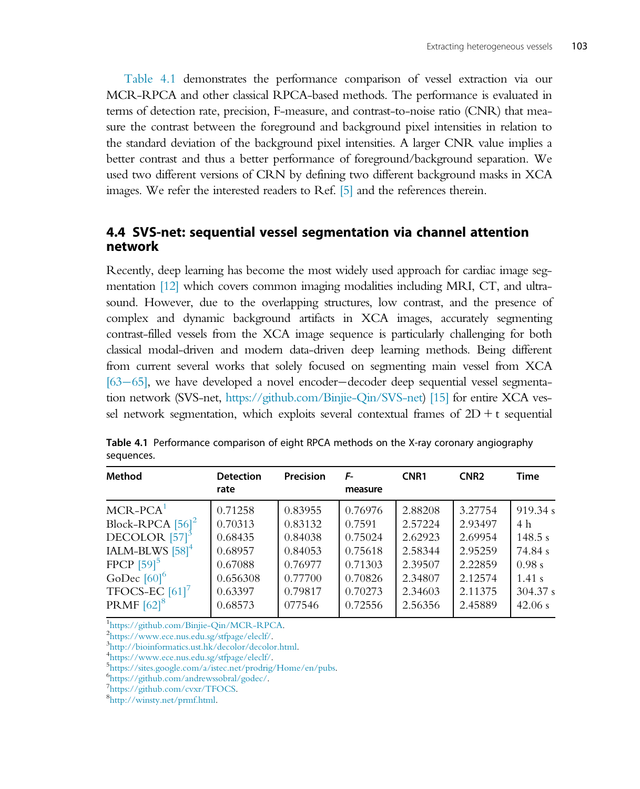Table 4.1 demonstrates the performance comparison of vessel extraction via our MCR-RPCA and other classical RPCA-based methods. The performance is evaluated in terms of detection rate, precision, F-measure, and contrast-to-noise ratio (CNR) that measure the contrast between the foreground and background pixel intensities in relation to the standard deviation of the background pixel intensities. A larger CNR value implies a better contrast and thus a better performance of foreground/background separation. We used two different versions of CRN by defining two different background masks in XCA images. We refer the interested readers to Ref. [5] and the references therein.

## 4.4 SVS-net: sequential vessel segmentation via channel attention network

Recently, deep learning has become the most widely used approach for cardiac image segmentation [12] which covers common imaging modalities including MRI, CT, and ultrasound. However, due to the overlapping structures, low contrast, and the presence of complex and dynamic background artifacts in XCA images, accurately segmenting contrast-filled vessels from the XCA image sequence is particularly challenging for both classical modal-driven and modern data-driven deep learning methods. Being different from current several works that solely focused on segmenting main vessel from XCA  $[63–65]$ , we have developed a novel encoder-decoder deep sequential vessel segmentation network (SVS-net, [https://github.com/Binjie-Qin/SVS-net\)](https://github.com/Binjie-Qin/SVS-net) [15] for entire XCA vessel network segmentation, which exploits several contextual frames of  $2D + t$  sequential

| Method                         | <b>Detection</b> | Precision | F-      | CNR <sub>1</sub> | CNR <sub>2</sub> | <b>Time</b> |
|--------------------------------|------------------|-----------|---------|------------------|------------------|-------------|
|                                | rate             |           | measure |                  |                  |             |
| $MCR-PCA1$                     | 0.71258          | 0.83955   | 0.76976 | 2.88208          | 3.27754          | 919.34 s    |
| Block-RPCA $[56]$ <sup>2</sup> | 0.70313          | 0.83132   | 0.7591  | 2.57224          | 2.93497          | 4 h         |
| DECOLOR $[57]$ <sup>3</sup>    | 0.68435          | 0.84038   | 0.75024 | 2.62923          | 2.69954          | 148.5 s     |
| IALM-BLWS $[58]$ <sup>4</sup>  | 0.68957          | 0.84053   | 0.75618 | 2.58344          | 2.95259          | 74.84 s     |
| FPCP $[59]$ <sup>5</sup>       | 0.67088          | 0.76977   | 0.71303 | 2.39507          | 2.22859          | 0.98 s      |
| GoDec $[60]$ <sup>6</sup>      | 0.656308         | 0.77700   | 0.70826 | 2.34807          | 2.12574          | 1.41 s      |
| TFOCS-EC $[61]$ <sup>7</sup>   | 0.63397          | 0.79817   | 0.70273 | 2.34603          | 2.11375          | 304.37 s    |
| PRMF $[62]$ <sup>8</sup>       | 0.68573          | 077546    | 0.72556 | 2.56356          | 2.45889          | 42.06 s     |

Table 4.1 Performance comparison of eight RPCA methods on the X-ray coronary angiography sequences.

<sup>1</sup><https://github.com/Binjie-Qin/MCR-RPCA>.

<sup>2</sup>[https://www.ece.nus.edu.sg/stfpage/eleclf/.](https://www.ece.nus.edu.sg/stfpage/eleclf/)

<sup>3</sup>[http://bioinformatics.ust.hk/decolor/decolor.html.](http://bioinformatics.ust.hk/decolor/decolor.html)

<sup>4</sup>[https://www.ece.nus.edu.sg/stfpage/eleclf/.](https://www.ece.nus.edu.sg/stfpage/eleclf/)

<https://sites.google.com/a/istec.net/prodrig/Home/en/pubs>. <sup>6</sup>

 $^{6}$ [https://github.com/andrewssobral/godec/.](https://github.com/andrewssobral/godec/)

7[https://github.com/cvxr/TFOCS.](https://github.com/cvxr/TFOCS)

[http://winsty.net/prmf.html.](http://winsty.net/prmf.html)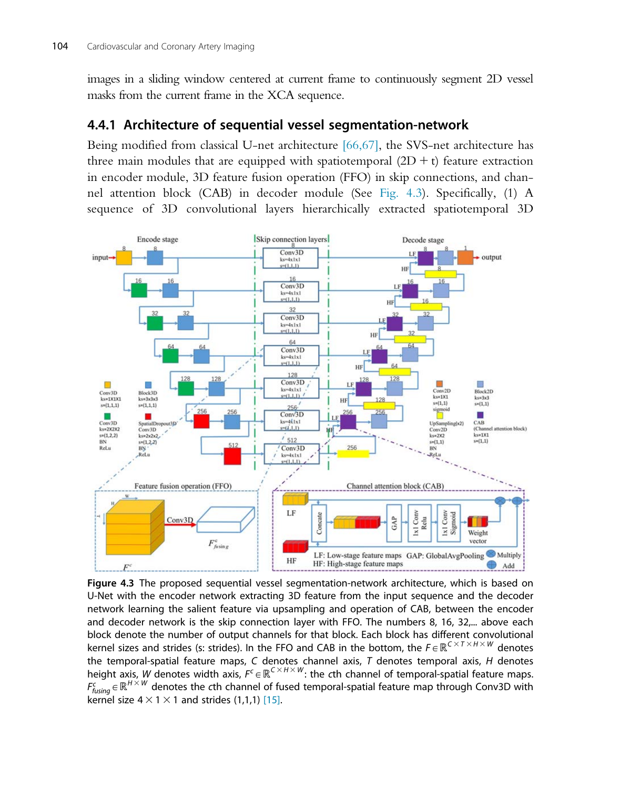images in a sliding window centered at current frame to continuously segment 2D vessel masks from the current frame in the XCA sequence.

## 4.4.1 Architecture of sequential vessel segmentation-network

Being modified from classical U-net architecture [66,67], the SVS-net architecture has three main modules that are equipped with spatiotemporal  $(2D + t)$  feature extraction in encoder module, 3D feature fusion operation (FFO) in skip connections, and channel attention block (CAB) in decoder module (See Fig. 4.3). Specifically, (1) A sequence of 3D convolutional layers hierarchically extracted spatiotemporal 3D



Figure 4.3 The proposed sequential vessel segmentation-network architecture, which is based on U-Net with the encoder network extracting 3D feature from the input sequence and the decoder network learning the salient feature via upsampling and operation of CAB, between the encoder and decoder network is the skip connection layer with FFO. The numbers 8, 16, 32,... above each block denote the number of output channels for that block. Each block has different convolutional kernel sizes and strides (s: strides). In the FFO and CAB in the bottom, the  $F \in \mathbb{R}^{C \times T \times H \times W}$  denotes the temporal-spatial feature maps,  $C$  denotes channel axis,  $T$  denotes temporal axis,  $H$  denotes height axis, W denotes width axis,  $F^c \in \mathbb{R}^{C \times H \times W}$ : the  $c$ th channel of temporal-spatial feature maps.  $F^c_{fusing} \in \mathbb{R}^{H \times W}$  denotes the  $c$ th channel of fused temporal-spatial feature map through Conv3D with kernel size  $4 \times 1 \times 1$  and strides (1,1,1) [15].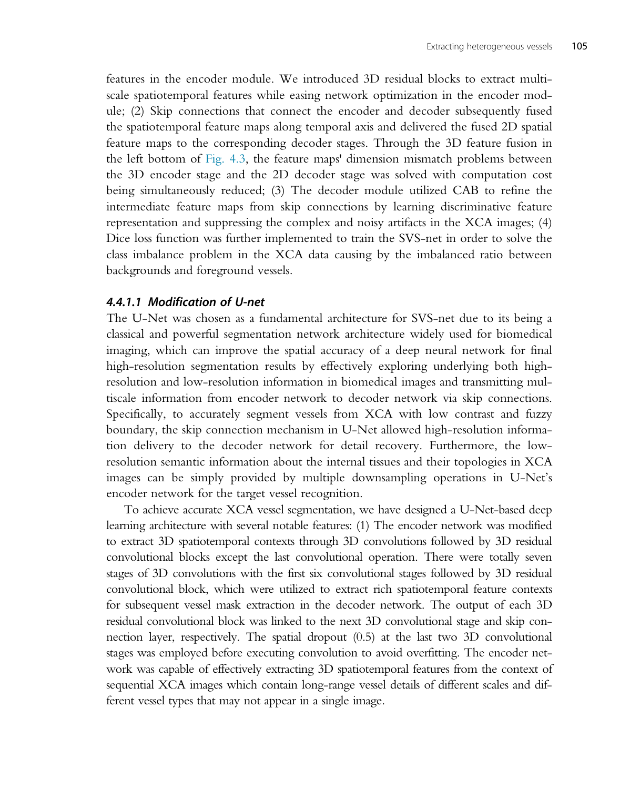features in the encoder module. We introduced 3D residual blocks to extract multiscale spatiotemporal features while easing network optimization in the encoder module; (2) Skip connections that connect the encoder and decoder subsequently fused the spatiotemporal feature maps along temporal axis and delivered the fused 2D spatial feature maps to the corresponding decoder stages. Through the 3D feature fusion in the left bottom of Fig. 4.3, the feature maps' dimension mismatch problems between the 3D encoder stage and the 2D decoder stage was solved with computation cost being simultaneously reduced; (3) The decoder module utilized CAB to refine the intermediate feature maps from skip connections by learning discriminative feature representation and suppressing the complex and noisy artifacts in the XCA images; (4) Dice loss function was further implemented to train the SVS-net in order to solve the class imbalance problem in the XCA data causing by the imbalanced ratio between backgrounds and foreground vessels.

#### 4.4.1.1 Modification of U-net

The U-Net was chosen as a fundamental architecture for SVS-net due to its being a classical and powerful segmentation network architecture widely used for biomedical imaging, which can improve the spatial accuracy of a deep neural network for final high-resolution segmentation results by effectively exploring underlying both highresolution and low-resolution information in biomedical images and transmitting multiscale information from encoder network to decoder network via skip connections. Specifically, to accurately segment vessels from XCA with low contrast and fuzzy boundary, the skip connection mechanism in U-Net allowed high-resolution information delivery to the decoder network for detail recovery. Furthermore, the lowresolution semantic information about the internal tissues and their topologies in XCA images can be simply provided by multiple downsampling operations in U-Net's encoder network for the target vessel recognition.

To achieve accurate XCA vessel segmentation, we have designed a U-Net-based deep learning architecture with several notable features: (1) The encoder network was modified to extract 3D spatiotemporal contexts through 3D convolutions followed by 3D residual convolutional blocks except the last convolutional operation. There were totally seven stages of 3D convolutions with the first six convolutional stages followed by 3D residual convolutional block, which were utilized to extract rich spatiotemporal feature contexts for subsequent vessel mask extraction in the decoder network. The output of each 3D residual convolutional block was linked to the next 3D convolutional stage and skip connection layer, respectively. The spatial dropout (0.5) at the last two 3D convolutional stages was employed before executing convolution to avoid overfitting. The encoder network was capable of effectively extracting 3D spatiotemporal features from the context of sequential XCA images which contain long-range vessel details of different scales and different vessel types that may not appear in a single image.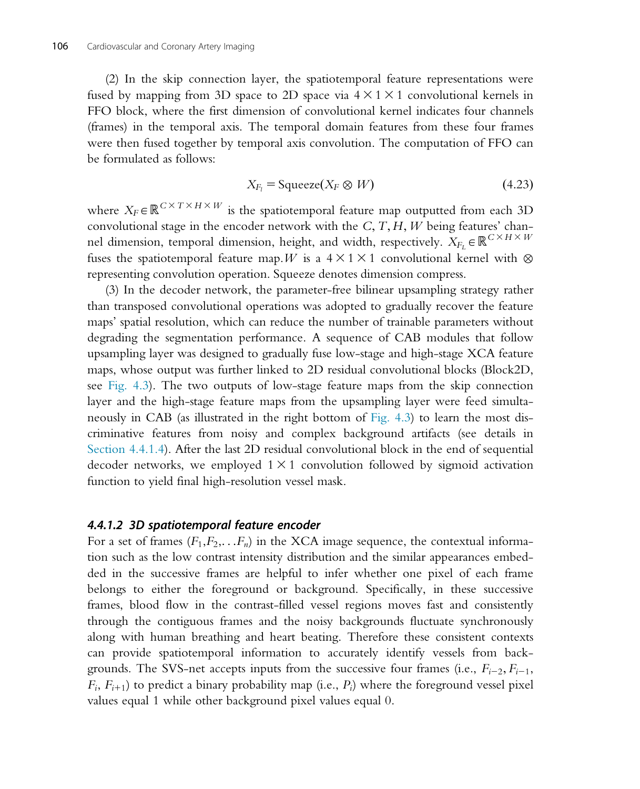(2) In the skip connection layer, the spatiotemporal feature representations were fused by mapping from 3D space to 2D space via  $4 \times 1 \times 1$  convolutional kernels in FFO block, where the first dimension of convolutional kernel indicates four channels (frames) in the temporal axis. The temporal domain features from these four frames were then fused together by temporal axis convolution. The computation of FFO can be formulated as follows:

$$
X_{F_l} = \text{Squeeze}(X_F \otimes W) \tag{4.23}
$$

where  $X_F \in \mathbb{R}^{C \times T \times H \times W}$  is the spatiotemporal feature map outputted from each 3D convolutional stage in the encoder network with the  $C, T, H, W$  being features' channel dimension, temporal dimension, height, and width, respectively.  $X_{F_L} \in \mathbb{R}^{C \times H \times W}$ fuses the spatiotemporal feature map. W is a  $4 \times 1 \times 1$  convolutional kernel with  $\otimes$ representing convolution operation. Squeeze denotes dimension compress.

(3) In the decoder network, the parameter-free bilinear upsampling strategy rather than transposed convolutional operations was adopted to gradually recover the feature maps' spatial resolution, which can reduce the number of trainable parameters without degrading the segmentation performance. A sequence of CAB modules that follow upsampling layer was designed to gradually fuse low-stage and high-stage XCA feature maps, whose output was further linked to 2D residual convolutional blocks (Block2D, see Fig. 4.3). The two outputs of low-stage feature maps from the skip connection layer and the high-stage feature maps from the upsampling layer were feed simultaneously in CAB (as illustrated in the right bottom of Fig. 4.3) to learn the most discriminative features from noisy and complex background artifacts (see details in Section 4.4.1.4). After the last 2D residual convolutional block in the end of sequential decoder networks, we employed  $1 \times 1$  convolution followed by sigmoid activation function to yield final high-resolution vessel mask.

#### 4.4.1.2 3D spatiotemporal feature encoder

For a set of frames  $(F_1, F_2, \ldots, F_n)$  in the XCA image sequence, the contextual information such as the low contrast intensity distribution and the similar appearances embedded in the successive frames are helpful to infer whether one pixel of each frame belongs to either the foreground or background. Specifically, in these successive frames, blood flow in the contrast-filled vessel regions moves fast and consistently through the contiguous frames and the noisy backgrounds fluctuate synchronously along with human breathing and heart beating. Therefore these consistent contexts can provide spatiotemporal information to accurately identify vessels from backgrounds. The SVS-net accepts inputs from the successive four frames (i.e.,  $F_{i-2}, F_{i-1}$ ,  $F_i, F_{i+1}$ ) to predict a binary probability map (i.e.,  $P_i$ ) where the foreground vessel pixel values equal 1 while other background pixel values equal 0.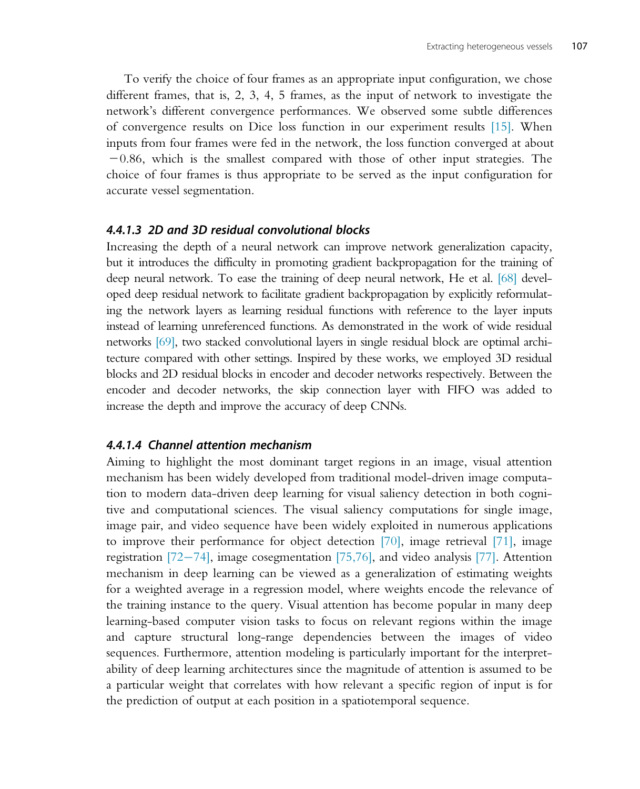To verify the choice of four frames as an appropriate input configuration, we chose different frames, that is, 2, 3, 4, 5 frames, as the input of network to investigate the network's different convergence performances. We observed some subtle differences of convergence results on Dice loss function in our experiment results [15]. When inputs from four frames were fed in the network, the loss function converged at about  $-0.86$ , which is the smallest compared with those of other input strategies. The choice of four frames is thus appropriate to be served as the input configuration for accurate vessel segmentation.

#### 4.4.1.3 2D and 3D residual convolutional blocks

Increasing the depth of a neural network can improve network generalization capacity, but it introduces the difficulty in promoting gradient backpropagation for the training of deep neural network. To ease the training of deep neural network, He et al. [68] developed deep residual network to facilitate gradient backpropagation by explicitly reformulating the network layers as learning residual functions with reference to the layer inputs instead of learning unreferenced functions. As demonstrated in the work of wide residual networks [69], two stacked convolutional layers in single residual block are optimal architecture compared with other settings. Inspired by these works, we employed 3D residual blocks and 2D residual blocks in encoder and decoder networks respectively. Between the encoder and decoder networks, the skip connection layer with FIFO was added to increase the depth and improve the accuracy of deep CNNs.

#### 4.4.1.4 Channel attention mechanism

Aiming to highlight the most dominant target regions in an image, visual attention mechanism has been widely developed from traditional model-driven image computation to modern data-driven deep learning for visual saliency detection in both cognitive and computational sciences. The visual saliency computations for single image, image pair, and video sequence have been widely exploited in numerous applications to improve their performance for object detection [70], image retrieval [71], image registration  $[72-74]$ , image cosegmentation  $[75,76]$ , and video analysis  $[77]$ . Attention mechanism in deep learning can be viewed as a generalization of estimating weights for a weighted average in a regression model, where weights encode the relevance of the training instance to the query. Visual attention has become popular in many deep learning-based computer vision tasks to focus on relevant regions within the image and capture structural long-range dependencies between the images of video sequences. Furthermore, attention modeling is particularly important for the interpretability of deep learning architectures since the magnitude of attention is assumed to be a particular weight that correlates with how relevant a specific region of input is for the prediction of output at each position in a spatiotemporal sequence.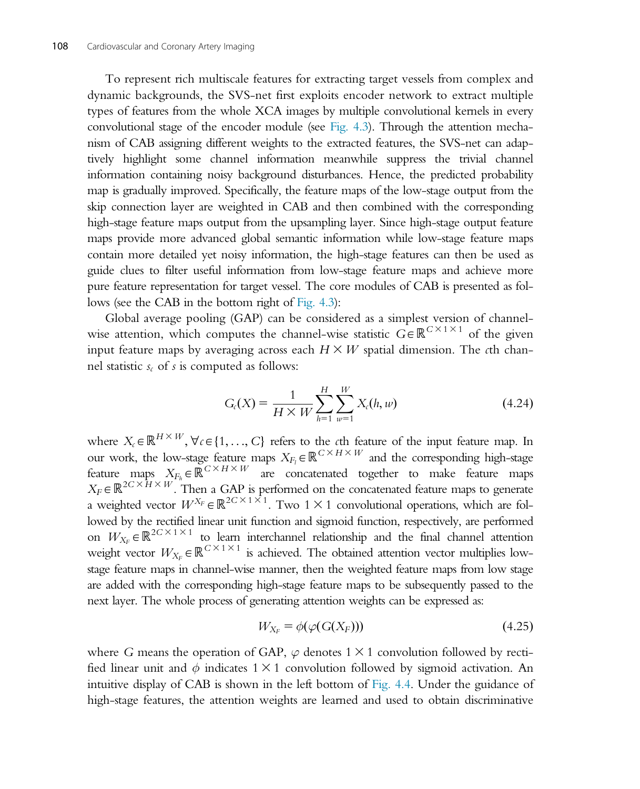To represent rich multiscale features for extracting target vessels from complex and dynamic backgrounds, the SVS-net first exploits encoder network to extract multiple types of features from the whole XCA images by multiple convolutional kernels in every convolutional stage of the encoder module (see Fig. 4.3). Through the attention mechanism of CAB assigning different weights to the extracted features, the SVS-net can adaptively highlight some channel information meanwhile suppress the trivial channel information containing noisy background disturbances. Hence, the predicted probability map is gradually improved. Specifically, the feature maps of the low-stage output from the skip connection layer are weighted in CAB and then combined with the corresponding high-stage feature maps output from the upsampling layer. Since high-stage output feature maps provide more advanced global semantic information while low-stage feature maps contain more detailed yet noisy information, the high-stage features can then be used as guide clues to filter useful information from low-stage feature maps and achieve more pure feature representation for target vessel. The core modules of CAB is presented as follows (see the CAB in the bottom right of Fig. 4.3):

Global average pooling (GAP) can be considered as a simplest version of channelwise attention, which computes the channel-wise statistic  $G \in \mathbb{R}^{C \times 1 \times 1}$  of the given input feature maps by averaging across each  $H \times W$  spatial dimension. The cth channel statistic  $s_c$  of s is computed as follows:

$$
G_c(X) = \frac{1}{H \times W} \sum_{h=1}^{H} \sum_{w=1}^{W} X_c(h, w)
$$
\n(4.24)

where  $X_c \in \mathbb{R}^{H \times W}$ ,  $\forall c \in \{1, ..., C\}$  refers to the cth feature of the input feature map. In our work, the low-stage feature maps  $X_{F_l} \in \mathbb{R}^{C \times H \times W}$  and the corresponding high-stage feature maps  $X_{F_h} \in \mathbb{R}^{C \times H \times W}$  are concatenated together to make feature maps  $X_F \in \mathbb{R}^{2C \times H \times W}$ . Then a GAP is performed on the concatenated feature maps to generate a weighted vector  $W^{X_F} \in \mathbb{R}^{2C \times 1 \times 1}$ . Two  $1 \times 1$  convolutional operations, which are followed by the rectified linear unit function and sigmoid function, respectively, are performed on  $W_{X_F} \in \mathbb{R}^{2C \times 1 \times 1}$  to learn interchannel relationship and the final channel attention weight vector  $W_{X_F} \in \mathbb{R}^{C \times 1 \times 1}$  is achieved. The obtained attention vector multiplies lowstage feature maps in channel-wise manner, then the weighted feature maps from low stage are added with the corresponding high-stage feature maps to be subsequently passed to the next layer. The whole process of generating attention weights can be expressed as:

$$
W_{X_F} = \phi(\varphi(G(X_F)))\tag{4.25}
$$

where G means the operation of GAP,  $\varphi$  denotes 1  $\times$  1 convolution followed by rectified linear unit and  $\phi$  indicates 1  $\times$  1 convolution followed by sigmoid activation. An intuitive display of CAB is shown in the left bottom of Fig. 4.4. Under the guidance of high-stage features, the attention weights are learned and used to obtain discriminative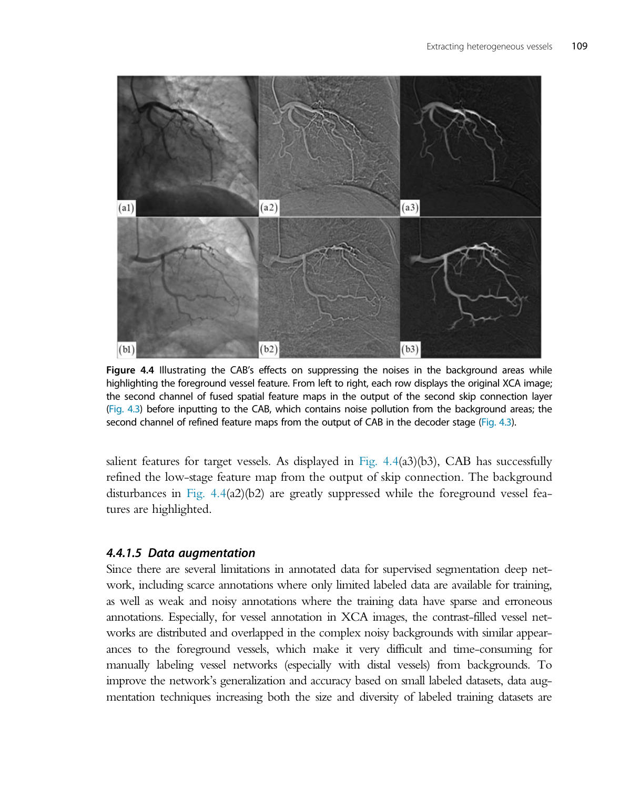

Figure 4.4 Illustrating the CAB's effects on suppressing the noises in the background areas while highlighting the foreground vessel feature. From left to right, each row displays the original XCA image; the second channel of fused spatial feature maps in the output of the second skip connection layer (Fig. 4.3) before inputting to the CAB, which contains noise pollution from the background areas; the second channel of refined feature maps from the output of CAB in the decoder stage (Fig. 4.3).

salient features for target vessels. As displayed in Fig.  $4.4(33)(b3)$ , CAB has successfully refined the low-stage feature map from the output of skip connection. The background disturbances in Fig.  $4.4(a2)(b2)$  are greatly suppressed while the foreground vessel features are highlighted.

#### 4.4.1.5 Data augmentation

Since there are several limitations in annotated data for supervised segmentation deep network, including scarce annotations where only limited labeled data are available for training, as well as weak and noisy annotations where the training data have sparse and erroneous annotations. Especially, for vessel annotation in XCA images, the contrast-filled vessel networks are distributed and overlapped in the complex noisy backgrounds with similar appearances to the foreground vessels, which make it very difficult and time-consuming for manually labeling vessel networks (especially with distal vessels) from backgrounds. To improve the network's generalization and accuracy based on small labeled datasets, data augmentation techniques increasing both the size and diversity of labeled training datasets are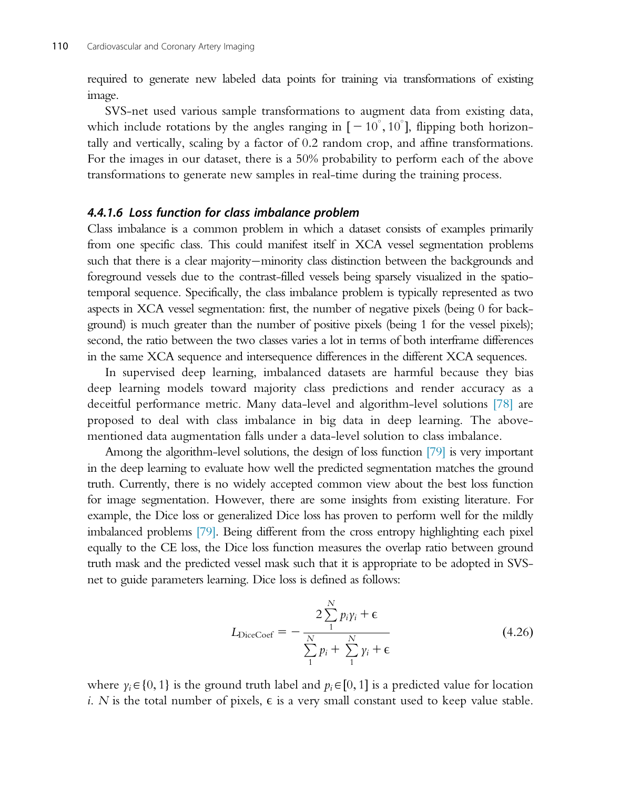required to generate new labeled data points for training via transformations of existing image.

SVS-net used various sample transformations to augment data from existing data, which include rotations by the angles ranging in  $[-10^{\circ}, 10^{\circ}]$ , flipping both horizon-<br>tally and vertically, scaling by a factor of 0.2 random crop, and affine transformations. tally and vertically, scaling by a factor of 0:2 random crop, and affine transformations. For the images in our dataset, there is a 50% probability to perform each of the above transformations to generate new samples in real-time during the training process.

#### 4.4.1.6 Loss function for class imbalance problem

Class imbalance is a common problem in which a dataset consists of examples primarily from one specific class. This could manifest itself in XCA vessel segmentation problems such that there is a clear majority—minority class distinction between the backgrounds and foreground vessels due to the contrast-filled vessels being sparsely visualized in the spatiotemporal sequence. Specifically, the class imbalance problem is typically represented as two aspects in XCA vessel segmentation: first, the number of negative pixels (being 0 for background) is much greater than the number of positive pixels (being 1 for the vessel pixels); second, the ratio between the two classes varies a lot in terms of both interframe differences in the same XCA sequence and intersequence differences in the different XCA sequences.

In supervised deep learning, imbalanced datasets are harmful because they bias deep learning models toward majority class predictions and render accuracy as a deceitful performance metric. Many data-level and algorithm-level solutions [78] are proposed to deal with class imbalance in big data in deep learning. The abovementioned data augmentation falls under a data-level solution to class imbalance.

Among the algorithm-level solutions, the design of loss function [79] is very important in the deep learning to evaluate how well the predicted segmentation matches the ground truth. Currently, there is no widely accepted common view about the best loss function for image segmentation. However, there are some insights from existing literature. For example, the Dice loss or generalized Dice loss has proven to perform well for the mildly imbalanced problems [79]. Being different from the cross entropy highlighting each pixel equally to the CE loss, the Dice loss function measures the overlap ratio between ground truth mask and the predicted vessel mask such that it is appropriate to be adopted in SVSnet to guide parameters learning. Dice loss is defined as follows:

$$
L_{\text{DiceCoef}} = -\frac{2\sum_{1}^{N} p_{i} \gamma_{i} + \epsilon}{\sum_{1}^{N} p_{i} + \sum_{1}^{N} \gamma_{i} + \epsilon}
$$
(4.26)

where  $y_i \in \{0, 1\}$  is the ground truth label and  $p_i \in [0, 1]$  is a predicted value for location i. N is the total number of pixels,  $\epsilon$  is a very small constant used to keep value stable.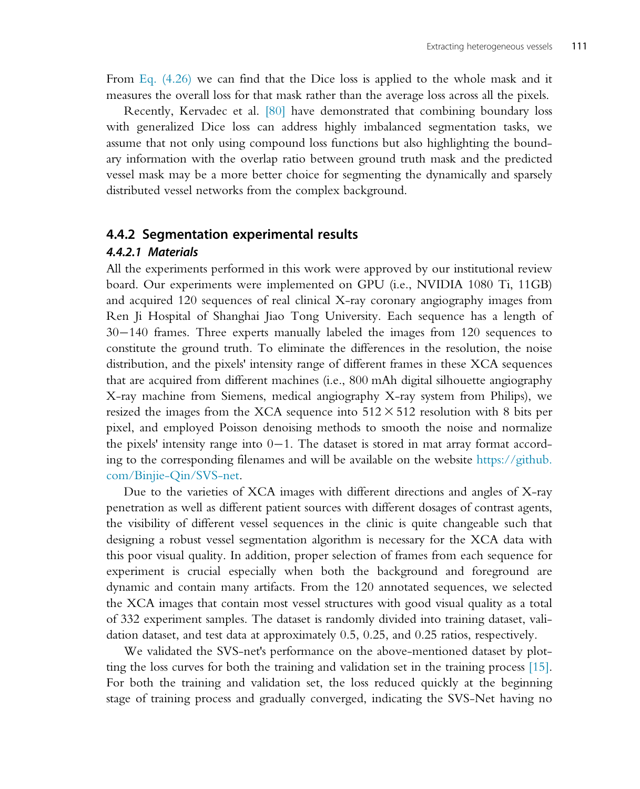From Eq. (4.26) we can find that the Dice loss is applied to the whole mask and it measures the overall loss for that mask rather than the average loss across all the pixels.

Recently, Kervadec et al. [80] have demonstrated that combining boundary loss with generalized Dice loss can address highly imbalanced segmentation tasks, we assume that not only using compound loss functions but also highlighting the boundary information with the overlap ratio between ground truth mask and the predicted vessel mask may be a more better choice for segmenting the dynamically and sparsely distributed vessel networks from the complex background.

#### 4.4.2 Segmentation experimental results

#### 4.4.2.1 Materials

All the experiments performed in this work were approved by our institutional review board. Our experiments were implemented on GPU (i.e., NVIDIA 1080 Ti, 11GB) and acquired 120 sequences of real clinical X-ray coronary angiography images from Ren Ji Hospital of Shanghai Jiao Tong University. Each sequence has a length of  $30-140$  frames. Three experts manually labeled the images from 120 sequences to constitute the ground truth. To eliminate the differences in the resolution, the noise distribution, and the pixels' intensity range of different frames in these XCA sequences that are acquired from different machines (i.e., 800 mAh digital silhouette angiography X-ray machine from Siemens, medical angiography X-ray system from Philips), we resized the images from the XCA sequence into  $512 \times 512$  resolution with 8 bits per pixel, and employed Poisson denoising methods to smooth the noise and normalize the pixels' intensity range into  $0-1$ . The dataset is stored in mat array format according to the corresponding filenames and will be available on the website [https://github.](https://github.com/Binjie-Qin/SVS-net) [com/Binjie-Qin/SVS-net.](https://github.com/Binjie-Qin/SVS-net)

Due to the varieties of XCA images with different directions and angles of X-ray penetration as well as different patient sources with different dosages of contrast agents, the visibility of different vessel sequences in the clinic is quite changeable such that designing a robust vessel segmentation algorithm is necessary for the XCA data with this poor visual quality. In addition, proper selection of frames from each sequence for experiment is crucial especially when both the background and foreground are dynamic and contain many artifacts. From the 120 annotated sequences, we selected the XCA images that contain most vessel structures with good visual quality as a total of 332 experiment samples. The dataset is randomly divided into training dataset, validation dataset, and test data at approximately 0.5, 0.25, and 0.25 ratios, respectively.

We validated the SVS-net's performance on the above-mentioned dataset by plotting the loss curves for both the training and validation set in the training process [15]. For both the training and validation set, the loss reduced quickly at the beginning stage of training process and gradually converged, indicating the SVS-Net having no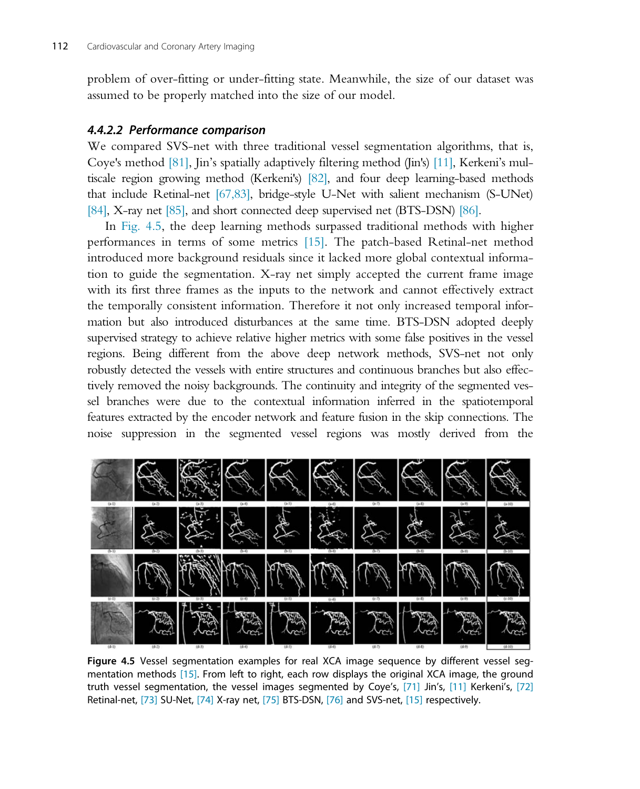problem of over-fitting or under-fitting state. Meanwhile, the size of our dataset was assumed to be properly matched into the size of our model.

## 4.4.2.2 Performance comparison

We compared SVS-net with three traditional vessel segmentation algorithms, that is, Coye's method [81], Jin's spatially adaptively filtering method (Jin's) [11], Kerkeni's multiscale region growing method (Kerkeni's) [82], and four deep learning-based methods that include Retinal-net [67,83], bridge-style U-Net with salient mechanism (S-UNet) [84], X-ray net [85], and short connected deep supervised net (BTS-DSN) [86].

In Fig. 4.5, the deep learning methods surpassed traditional methods with higher performances in terms of some metrics [15]. The patch-based Retinal-net method introduced more background residuals since it lacked more global contextual information to guide the segmentation. X-ray net simply accepted the current frame image with its first three frames as the inputs to the network and cannot effectively extract the temporally consistent information. Therefore it not only increased temporal information but also introduced disturbances at the same time. BTS-DSN adopted deeply supervised strategy to achieve relative higher metrics with some false positives in the vessel regions. Being different from the above deep network methods, SVS-net not only robustly detected the vessels with entire structures and continuous branches but also effectively removed the noisy backgrounds. The continuity and integrity of the segmented vessel branches were due to the contextual information inferred in the spatiotemporal features extracted by the encoder network and feature fusion in the skip connections. The noise suppression in the segmented vessel regions was mostly derived from the



Figure 4.5 Vessel segmentation examples for real XCA image sequence by different vessel segmentation methods [15]. From left to right, each row displays the original XCA image, the ground truth vessel segmentation, the vessel images segmented by Coye's, [71] Jin's, [11] Kerkeni's, [72] Retinal-net, [73] SU-Net, [74] X-ray net, [75] BTS-DSN, [76] and SVS-net, [15] respectively.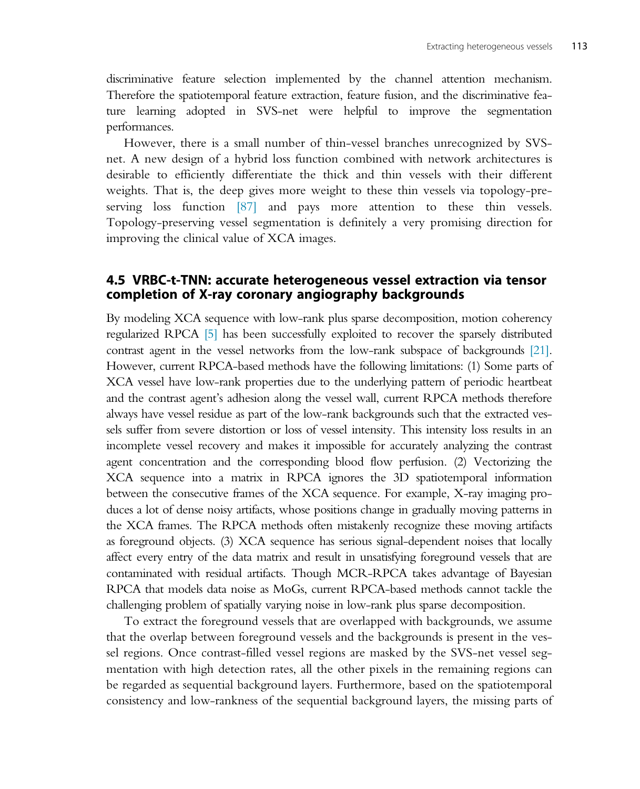discriminative feature selection implemented by the channel attention mechanism. Therefore the spatiotemporal feature extraction, feature fusion, and the discriminative feature learning adopted in SVS-net were helpful to improve the segmentation performances.

However, there is a small number of thin-vessel branches unrecognized by SVSnet. A new design of a hybrid loss function combined with network architectures is desirable to efficiently differentiate the thick and thin vessels with their different weights. That is, the deep gives more weight to these thin vessels via topology-preserving loss function [87] and pays more attention to these thin vessels. Topology-preserving vessel segmentation is definitely a very promising direction for improving the clinical value of XCA images.

## 4.5 VRBC-t-TNN: accurate heterogeneous vessel extraction via tensor completion of X-ray coronary angiography backgrounds

By modeling XCA sequence with low-rank plus sparse decomposition, motion coherency regularized RPCA [5] has been successfully exploited to recover the sparsely distributed contrast agent in the vessel networks from the low-rank subspace of backgrounds [21]. However, current RPCA-based methods have the following limitations: (1) Some parts of XCA vessel have low-rank properties due to the underlying pattern of periodic heartbeat and the contrast agent's adhesion along the vessel wall, current RPCA methods therefore always have vessel residue as part of the low-rank backgrounds such that the extracted vessels suffer from severe distortion or loss of vessel intensity. This intensity loss results in an incomplete vessel recovery and makes it impossible for accurately analyzing the contrast agent concentration and the corresponding blood flow perfusion. (2) Vectorizing the XCA sequence into a matrix in RPCA ignores the 3D spatiotemporal information between the consecutive frames of the XCA sequence. For example, X-ray imaging produces a lot of dense noisy artifacts, whose positions change in gradually moving patterns in the XCA frames. The RPCA methods often mistakenly recognize these moving artifacts as foreground objects. (3) XCA sequence has serious signal-dependent noises that locally affect every entry of the data matrix and result in unsatisfying foreground vessels that are contaminated with residual artifacts. Though MCR-RPCA takes advantage of Bayesian RPCA that models data noise as MoGs, current RPCA-based methods cannot tackle the challenging problem of spatially varying noise in low-rank plus sparse decomposition.

To extract the foreground vessels that are overlapped with backgrounds, we assume that the overlap between foreground vessels and the backgrounds is present in the vessel regions. Once contrast-filled vessel regions are masked by the SVS-net vessel segmentation with high detection rates, all the other pixels in the remaining regions can be regarded as sequential background layers. Furthermore, based on the spatiotemporal consistency and low-rankness of the sequential background layers, the missing parts of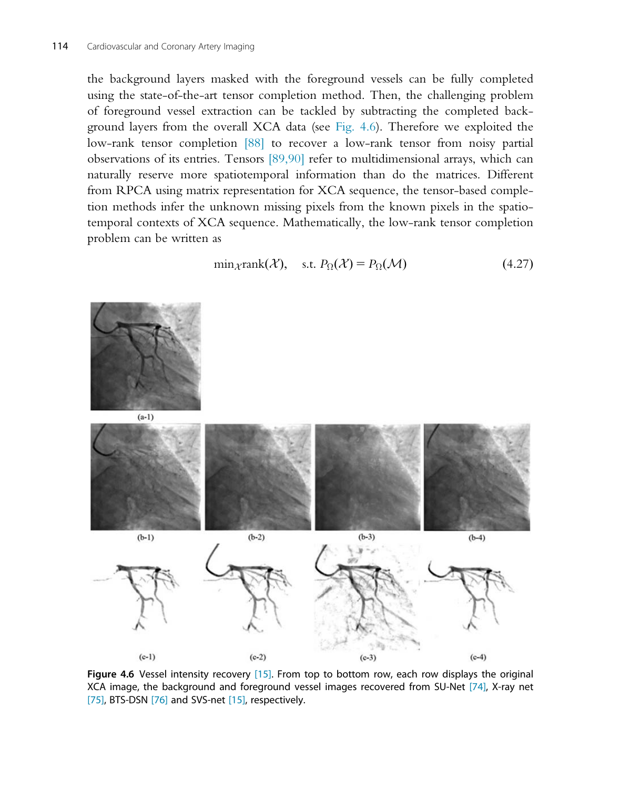the background layers masked with the foreground vessels can be fully completed using the state-of-the-art tensor completion method. Then, the challenging problem of foreground vessel extraction can be tackled by subtracting the completed background layers from the overall XCA data (see Fig. 4.6). Therefore we exploited the low-rank tensor completion [88] to recover a low-rank tensor from noisy partial observations of its entries. Tensors [89,90] refer to multidimensional arrays, which can naturally reserve more spatiotemporal information than do the matrices. Different from RPCA using matrix representation for XCA sequence, the tensor-based completion methods infer the unknown missing pixels from the known pixels in the spatiotemporal contexts of XCA sequence. Mathematically, the low-rank tensor completion problem can be written as

$$
\min_{\mathcal{X}} \text{rank}(\mathcal{X}), \quad \text{s.t. } P_{\Omega}(\mathcal{X}) = P_{\Omega}(\mathcal{M}) \tag{4.27}
$$



Figure 4.6 Vessel intensity recovery [15]. From top to bottom row, each row displays the original XCA image, the background and foreground vessel images recovered from SU-Net [74], X-ray net [75], BTS-DSN [76] and SVS-net [15], respectively.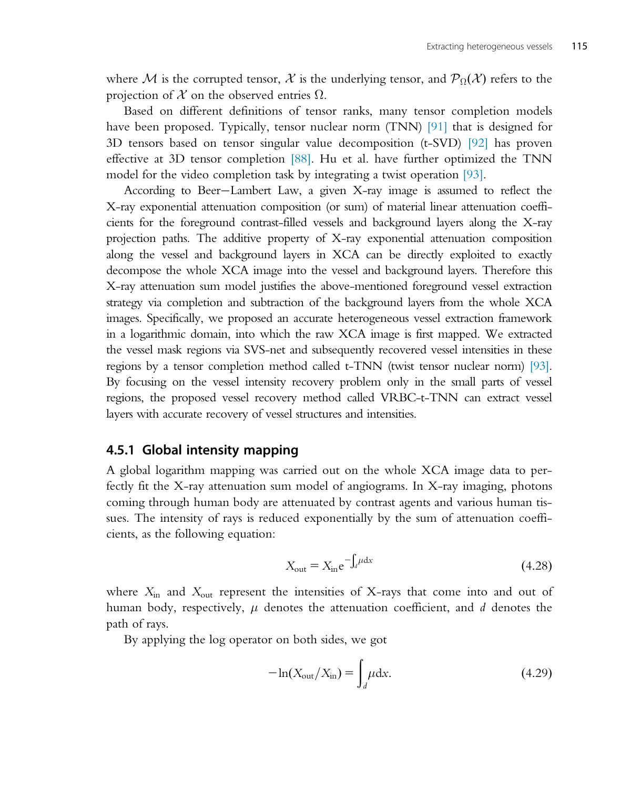where M is the corrupted tensor, X is the underlying tensor, and  $\mathcal{P}_{\Omega}(\mathcal{X})$  refers to the projection of X on the observed entries  $\Omega$ .

Based on different definitions of tensor ranks, many tensor completion models have been proposed. Typically, tensor nuclear norm (TNN) [91] that is designed for 3D tensors based on tensor singular value decomposition (t-SVD) [92] has proven effective at 3D tensor completion [88]. Hu et al. have further optimized the TNN model for the video completion task by integrating a twist operation [93].

According to Beer-Lambert Law, a given X-ray image is assumed to reflect the X-ray exponential attenuation composition (or sum) of material linear attenuation coefficients for the foreground contrast-filled vessels and background layers along the X-ray projection paths. The additive property of X-ray exponential attenuation composition along the vessel and background layers in XCA can be directly exploited to exactly decompose the whole XCA image into the vessel and background layers. Therefore this X-ray attenuation sum model justifies the above-mentioned foreground vessel extraction strategy via completion and subtraction of the background layers from the whole XCA images. Specifically, we proposed an accurate heterogeneous vessel extraction framework in a logarithmic domain, into which the raw XCA image is first mapped. We extracted the vessel mask regions via SVS-net and subsequently recovered vessel intensities in these regions by a tensor completion method called t-TNN (twist tensor nuclear norm) [93]. By focusing on the vessel intensity recovery problem only in the small parts of vessel regions, the proposed vessel recovery method called VRBC-t-TNN can extract vessel layers with accurate recovery of vessel structures and intensities.

## 4.5.1 Global intensity mapping

A global logarithm mapping was carried out on the whole XCA image data to perfectly fit the X-ray attenuation sum model of angiograms. In X-ray imaging, photons coming through human body are attenuated by contrast agents and various human tissues. The intensity of rays is reduced exponentially by the sum of attenuation coefficients, as the following equation:

$$
X_{\text{out}} = X_{\text{in}} e^{-\int_{d} \mu dx}
$$
 (4.28)

where  $X_{\text{in}}$  and  $X_{\text{out}}$  represent the intensities of X-rays that come into and out of human body, respectively,  $\mu$  denotes the attenuation coefficient, and d denotes the path of rays.

By applying the log operator on both sides, we got

$$
-\ln(X_{\text{out}}/X_{\text{in}}) = \int_{d} \mu \, \mathrm{d}x. \tag{4.29}
$$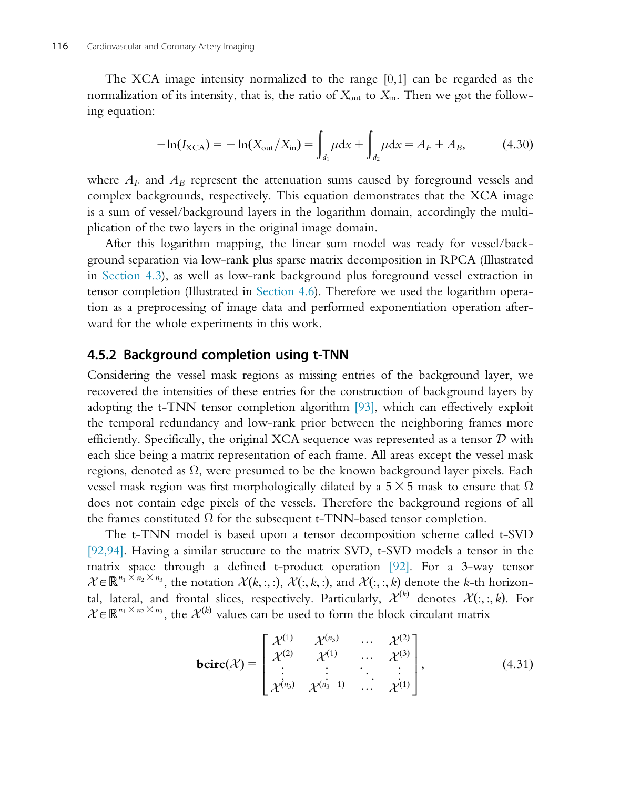The XCA image intensity normalized to the range [0,1] can be regarded as the normalization of its intensity, that is, the ratio of  $X_{\text{out}}$  to  $X_{\text{in}}$ . Then we got the following equation:

$$
-\ln(I_{\text{XCA}}) = -\ln(X_{\text{out}}/X_{\text{in}}) = \int_{d_1} \mu \, \mathrm{d}x + \int_{d_2} \mu \, \mathrm{d}x = A_F + A_B,\tag{4.30}
$$

where  $A_F$  and  $A_B$  represent the attenuation sums caused by foreground vessels and complex backgrounds, respectively. This equation demonstrates that the XCA image is a sum of vessel/background layers in the logarithm domain, accordingly the multiplication of the two layers in the original image domain.

After this logarithm mapping, the linear sum model was ready for vessel/background separation via low-rank plus sparse matrix decomposition in RPCA (Illustrated in Section 4.3), as well as low-rank background plus foreground vessel extraction in tensor completion (Illustrated in Section 4.6). Therefore we used the logarithm operation as a preprocessing of image data and performed exponentiation operation afterward for the whole experiments in this work.

## 4.5.2 Background completion using t-TNN

Considering the vessel mask regions as missing entries of the background layer, we recovered the intensities of these entries for the construction of background layers by adopting the t-TNN tensor completion algorithm [93], which can effectively exploit the temporal redundancy and low-rank prior between the neighboring frames more efficiently. Specifically, the original XCA sequence was represented as a tensor  $D$  with each slice being a matrix representation of each frame. All areas except the vessel mask regions, denoted as  $\Omega$ , were presumed to be the known background layer pixels. Each vessel mask region was first morphologically dilated by a 5  $\times$  5 mask to ensure that  $\Omega$ does not contain edge pixels of the vessels. Therefore the background regions of all the frames constituted  $\Omega$  for the subsequent t-TNN-based tensor completion.

The t-TNN model is based upon a tensor decomposition scheme called t-SVD [92,94]. Having a similar structure to the matrix SVD, t-SVD models a tensor in the matrix space through a defined t-product operation [92]. For a 3-way tensor  $\mathcal{X} \in \mathbb{R}^{n_1 \times n_2 \times n_3}$ , the notation  $\mathcal{X}(k, :, :, \mathcal{X}(:, k, :)$ , and  $\mathcal{X}(:, :, k)$  denote the k-th horizontal, lateral, and frontal slices, respectively. Particularly,  $\mathcal{X}^{(k)}$  denotes  $\mathcal{X}(:, :, k)$ . For  $\mathcal{X} \in \mathbb{R}^{n_1 \times n_2 \times n_3}$ , the  $\mathcal{X}^{(k)}$  values can be used to form the block circulant matrix

$$
\text{bcirc}(\mathcal{X}) = \begin{bmatrix} \mathcal{X}^{(1)} & \mathcal{X}^{(n_3)} & \cdots & \mathcal{X}^{(2)} \\ \mathcal{X}^{(2)} & \mathcal{X}^{(1)} & \cdots & \mathcal{X}^{(3)} \\ \vdots & \vdots & \ddots & \vdots \\ \mathcal{X}^{(n_3)} & \mathcal{X}^{(n_3-1)} & \cdots & \mathcal{X}^{(1)} \end{bmatrix},
$$
(4.31)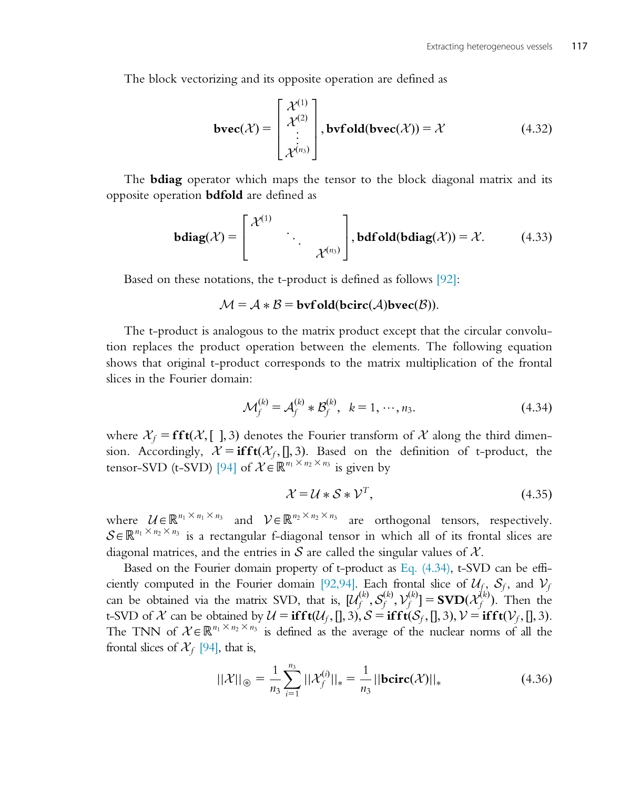The block vectorizing and its opposite operation are defined as

$$
\text{bvec}(\mathcal{X}) = \begin{bmatrix} \mathcal{X}^{(1)} \\ \mathcal{X}^{(2)} \\ \vdots \\ \mathcal{X}^{(n_3)} \end{bmatrix}, \text{bvfold}(\text{bvec}(\mathcal{X})) = \mathcal{X} \tag{4.32}
$$

The **bdiag** operator which maps the tensor to the block diagonal matrix and its opposite operation bdfold are defined as

$$
\mathbf{bdiag}(\mathcal{X}) = \begin{bmatrix} \mathcal{X}^{(1)} & & \\ & \ddots & \\ & & \mathcal{X}^{(n_3)} \end{bmatrix}, \mathbf{bdfold}(\mathbf{bdiag}(\mathcal{X})) = \mathcal{X}.\tag{4.33}
$$

Based on these notations, the t-product is defined as follows [92]:

#### $\mathcal{M} = \mathcal{A} * \mathcal{B} = \text{bufold}(\text{bcirc}(\mathcal{A})\text{bvec}(\mathcal{B})).$

The t-product is analogous to the matrix product except that the circular convolution replaces the product operation between the elements. The following equation shows that original t-product corresponds to the matrix multiplication of the frontal slices in the Fourier domain:

$$
\mathcal{M}_f^{(k)} = \mathcal{A}_f^{(k)} * \mathcal{B}_f^{(k)}, \ \ k = 1, \cdots, n_3.
$$
 (4.34)

where  $\mathcal{X}_f = \mathbf{fft}(\mathcal{X}, [.,])$ , 3) denotes the Fourier transform of X along the third dimension. Accordingly,  $\mathcal{X} = \textbf{ifft}(\mathcal{X}_f,[],3)$ . Based on the definition of t-product, the tensor-SVD (t-SVD) [94] of  $\mathcal{X} \in \mathbb{R}^{n_1 \times n_2 \times n_3}$  is given by

$$
\mathcal{X} = \mathcal{U} * \mathcal{S} * \mathcal{V}^T,\tag{4.35}
$$

where  $U \in \mathbb{R}^{n_1 \times n_1 \times n_3}$  and  $V \in \mathbb{R}^{n_2 \times n_2 \times n_3}$  are orthogonal tensors, respectively.  $S \in \mathbb{R}^{n_1 \times n_2 \times n_3}$  is a rectangular f-diagonal tensor in which all of its frontal slices are diagonal matrices, and the entries in S are called the singular values of  $\mathcal{X}$ .

Based on the Fourier domain property of t-product as Eq. (4.34), t-SVD can be efficiently computed in the Fourier domain [92,94]. Each frontal slice of  $U_f$ ,  $S_f$ , and  $V_f$ can be obtained via the matrix SVD, that is,  $[\mathcal{U}_f^{(k)}, \mathcal{S}_f^{(k)}, \mathcal{V}_f^{(k)}] = \text{SVD}(\mathcal{X}_f^{(k)})$ . Then the first SVD of  $\mathcal{X}$  can be obtained by  $\mathcal{U} = \textbf{ifft}(\mathcal{U}, \Pi, 3)$ ,  $S = \textbf{ifft}(\mathcal{S}, \Pi, 3)$ ,  $\mathcal{V} = \textbf{ifft}$ t-SVD of X can be obtained by  $\mathcal{U} = \mathbf{ifft}(\mathcal{U}_f,[],3), \mathcal{S} = \mathbf{ifft}(\mathcal{S}_f,[],3), \mathcal{V} = \mathbf{ifft}(\mathcal{V}_f,[],3).$ The TNN of  $\mathcal{X} \in \mathbb{R}^{n_1 \times n_2 \times n_3}$  is defined as the average of the nuclear norms of all the frontal slices of  $\mathcal{X}_f$  [94], that is,

$$
||\mathcal{X}||_{\circledast} = \frac{1}{n_3} \sum_{i=1}^{n_3} ||\mathcal{X}_f^{(i)}||_* = \frac{1}{n_3} ||\mathbf{bcirc}(\mathcal{X})||_* \tag{4.36}
$$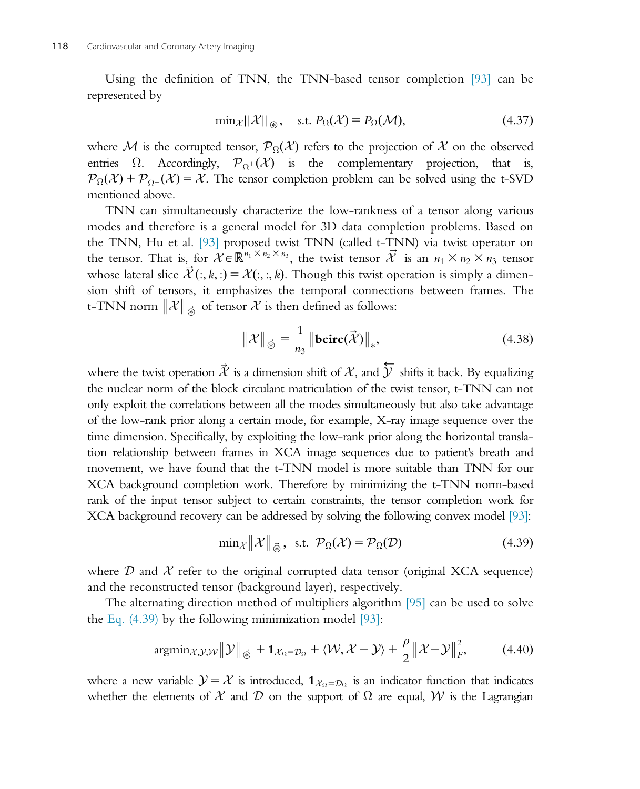Using the definition of TNN, the TNN-based tensor completion [93] can be represented by

$$
\min_{\mathcal{X}} ||\mathcal{X}||_{\circledast}, \quad \text{s.t. } P_{\Omega}(\mathcal{X}) = P_{\Omega}(\mathcal{M}), \tag{4.37}
$$

where M is the corrupted tensor,  $\mathcal{P}_{\Omega}(\mathcal{X})$  refers to the projection of X on the observed entries  $\Omega$ . Accordingly,  $\mathcal{P}_{\Omega}(\mathcal{X})$  is the complementary projection, that is,  $\mathcal{P}_{\Omega}(\mathcal{X}) + \mathcal{P}_{\Omega}(\mathcal{X}) = \mathcal{X}$ . The tensor completion problem can be solved using the t-SVD mentioned above.

TNN can simultaneously characterize the low-rankness of a tensor along various modes and therefore is a general model for 3D data completion problems. Based on the TNN, Hu et al. [93] proposed twist TNN (called t-TNN) via twist operator on the tensor. That is, for  $\mathcal{X} \in \mathbb{R}^{n_1 \times n_2 \times n_3}$ , the twist tensor  $\overrightarrow{\mathcal{X}}$  is an  $n_1 \times n_2 \times n_3$  tensor whose lateral slice  $\vec{X}(:, k,:) = \mathcal{X}(:, k)$ . Though this twist operation is simply a dimen-<br>sion shift of tensors, it emphasizes the temporal connections between frames. The sion shift of tensors, it emphasizes the temporal connections between frames. The t-TNN norm  $\|\mathcal{X}\|_{\vec{\mathfrak{G}}}$  of tensor  $\mathcal X$  is then defined as follows:

$$
\|\mathcal{X}\|_{\vec{\Phi}} = \frac{1}{n_3} \|\text{bcirc}(\vec{\mathcal{X}})\|_*,\tag{4.38}
$$

where the twist operation  $\vec{\mathcal{X}}$  is a dimension shift of  $\mathcal{X}$ , and  $\overleftarrow{\mathcal{Y}}$  shifts it back. By equalizing the nuclear norm of the block circulant matriculation of the twist tensor, t-TNN can not only exploit the correlations between all the modes simultaneously but also take advantage of the low-rank prior along a certain mode, for example, X-ray image sequence over the time dimension. Specifically, by exploiting the low-rank prior along the horizontal translation relationship between frames in XCA image sequences due to patient's breath and movement, we have found that the t-TNN model is more suitable than TNN for our XCA background completion work. Therefore by minimizing the t-TNN norm-based rank of the input tensor subject to certain constraints, the tensor completion work for XCA background recovery can be addressed by solving the following convex model [93]:

$$
\min_{\mathcal{X}} \|\mathcal{X}\|_{\vec{\Phi}}, \text{ s.t. } \mathcal{P}_{\Omega}(\mathcal{X}) = \mathcal{P}_{\Omega}(\mathcal{D}) \tag{4.39}
$$

where  $\mathcal D$  and  $\mathcal X$  refer to the original corrupted data tensor (original XCA sequence) and the reconstructed tensor (background layer), respectively.

The alternating direction method of multipliers algorithm [95] can be used to solve the Eq.  $(4.39)$  by the following minimization model [93]:

$$
\operatorname{argmin}_{\mathcal{X}, \mathcal{Y}, \mathcal{W}} \|\mathcal{Y}\|_{\vec{\circledast}} + \mathbf{1}_{\mathcal{X}_{\Omega} = \mathcal{D}_{\Omega}} + \langle \mathcal{W}, \mathcal{X} - \mathcal{Y} \rangle + \frac{\rho}{2} \|\mathcal{X} - \mathcal{Y}\|_{F}^{2}, \tag{4.40}
$$

where a new variable  $\mathcal{Y} = \mathcal{X}$  is introduced,  $\mathbf{1}_{\mathcal{X}_{Q} = \mathcal{D}_{Q}}$  is an indicator function that indicates whether the elements of  $\mathcal X$  and  $\mathcal D$  on the support of  $\Omega$  are equal,  $\mathcal W$  is the Lagrangian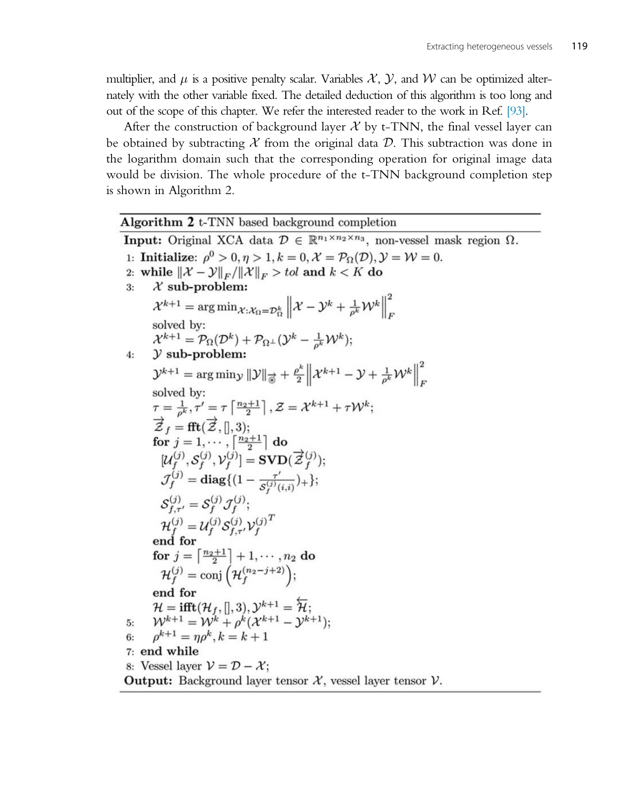multiplier, and  $\mu$  is a positive penalty scalar. Variables X, Y, and W can be optimized alternately with the other variable fixed. The detailed deduction of this algorithm is too long and out of the scope of this chapter. We refer the interested reader to the work in Ref. [93].

After the construction of background layer  $X$  by t-TNN, the final vessel layer can be obtained by subtracting  $\mathcal X$  from the original data  $\mathcal D$ . This subtraction was done in the logarithm domain such that the corresponding operation for original image data would be division. The whole procedure of the t-TNN background completion step is shown in Algorithm 2.

Algorithm 2 t-TNN based background completion **Input:** Original XCA data  $\mathcal{D} \in \mathbb{R}^{n_1 \times n_2 \times n_3}$ , non-vessel mask region  $\Omega$ . 1: Initialize:  $\rho^0 > 0, \eta > 1, k = 0, \mathcal{X} = \mathcal{P}_{\Omega}(\mathcal{D}), \mathcal{Y} = \mathcal{W} = 0.$ 2: while  $\|\mathcal{X}-\mathcal{Y}\|_F/\|\mathcal{X}\|_F > tol$  and  $k < K$  do  $\mathcal X$  sub-problem:  $3:$  $\mathcal{X}^{k+1} = \arg \min_{\mathcal{X}: \mathcal{X}_{\Omega} = \mathcal{D}_{\Omega}^{k}} \left\| \mathcal{X} - \mathcal{Y}^{k} + \frac{1}{\rho^{k}} \mathcal{W}^{k} \right\|_{F}^{2}$ solved by:<br>  $\mathcal{X}^{k+1} = \mathcal{P}_{\Omega}(\mathcal{D}^k) + \mathcal{P}_{\Omega^{\perp}}(\mathcal{Y}^k - \frac{1}{\rho^k}\mathcal{W}^k);$  $y$  sub-problem:  $4:$  $\mathcal{Y}^{k+1} = \arg\min_{\mathcal{Y}} \|\mathcal{Y}\|_{\overrightarrow{\otimes}} + \frac{\rho^k}{2} \left\|\mathcal{X}^{k+1} - \mathcal{Y} + \frac{1}{\rho^k}\mathcal{W}^k\right\|_F^2$ solved by:  $\tau = \frac{1}{\rho^k}, \tau' = \tau \left[ \frac{n_2+1}{2} \right], \mathcal{Z} = \mathcal{X}^{k+1} + \tau \mathcal{W}^k;$  $\overrightarrow{\mathcal{Z}}_f = \text{fft}(\overrightarrow{\mathcal{Z}},[],3);$  for  $j = 1, \cdots, \left\lceil \frac{n_2+1}{2} \right\rceil$  do  $[\mathcal{U}_f^{(j)}, \mathcal{S}_f^{(j)}, \mathcal{V}_f^{(j)}] = \textbf{SVD}(\vec{\mathcal{Z}}_f^{(j)});$  $\mathcal{J}_f^{(j)} = \text{diag}\{(1 - \frac{\tau'}{S_f^{(j)}(i,i)})+\};$  $S_{f,\tau'}^{(j)} = S_f^{(j)} \mathcal{J}_f^{(j)};$  $\mathcal{H}_{f}^{(j)} = \mathcal{U}_{f}^{(j)} \mathcal{S}_{f,\tau'}^{(j)} \mathcal{V}_{f}^{(j)^{T}}$  end for for  $j = \left\lceil \frac{n_2+1}{2} \right\rceil + 1, \dots, n_2$  do<br>  $\mathcal{H}_f^{(j)} = \text{conj}\left(\mathcal{H}_f^{(n_2-j+2)}\right);$ end for  $\mathcal{H} = \textbf{ifft}(\mathcal{H}_f,[],3), \mathcal{Y}^{k+1} = \overleftarrow{\mathcal{H}};$ <br>  $\mathcal{W}^{k+1} = \mathcal{W}^k + \rho^k(\mathcal{X}^{k+1} - \mathcal{Y}^{k+1});$ 5:  $\rho^{k+1} = \eta \rho^k, k = k+1$  $6:$ 7: end while 8: Vessel layer  $\mathcal{V} = \mathcal{D} - \mathcal{X}$ ; **Output:** Background layer tensor  $\mathcal{X}$ , vessel layer tensor  $\mathcal{V}$ .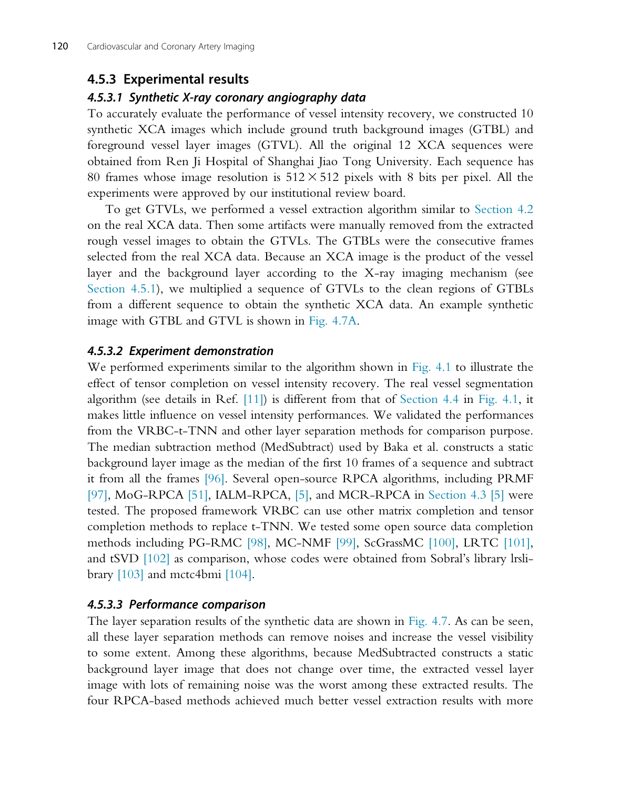## 4.5.3 Experimental results

#### 4.5.3.1 Synthetic X-ray coronary angiography data

To accurately evaluate the performance of vessel intensity recovery, we constructed 10 synthetic XCA images which include ground truth background images (GTBL) and foreground vessel layer images (GTVL). All the original 12 XCA sequences were obtained from Ren Ji Hospital of Shanghai Jiao Tong University. Each sequence has 80 frames whose image resolution is  $512 \times 512$  pixels with 8 bits per pixel. All the experiments were approved by our institutional review board.

To get GTVLs, we performed a vessel extraction algorithm similar to Section 4.2 on the real XCA data. Then some artifacts were manually removed from the extracted rough vessel images to obtain the GTVLs. The GTBLs were the consecutive frames selected from the real XCA data. Because an XCA image is the product of the vessel layer and the background layer according to the X-ray imaging mechanism (see Section 4.5.1), we multiplied a sequence of GTVLs to the clean regions of GTBLs from a different sequence to obtain the synthetic XCA data. An example synthetic image with GTBL and GTVL is shown in Fig. 4.7A.

#### 4.5.3.2 Experiment demonstration

We performed experiments similar to the algorithm shown in Fig. 4.1 to illustrate the effect of tensor completion on vessel intensity recovery. The real vessel segmentation algorithm (see details in Ref. [11]) is different from that of Section 4.4 in Fig. 4.1, it makes little influence on vessel intensity performances. We validated the performances from the VRBC-t-TNN and other layer separation methods for comparison purpose. The median subtraction method (MedSubtract) used by Baka et al. constructs a static background layer image as the median of the first 10 frames of a sequence and subtract it from all the frames [96]. Several open-source RPCA algorithms, including PRMF [97], MoG-RPCA [51], IALM-RPCA, [5], and MCR-RPCA in Section 4.3 [5] were tested. The proposed framework VRBC can use other matrix completion and tensor completion methods to replace t-TNN. We tested some open source data completion methods including PG-RMC [98], MC-NMF [99], ScGrassMC [100], LRTC [101], and tSVD [102] as comparison, whose codes were obtained from Sobral's library lrslibrary  $[103]$  and mctc4bmi  $[104]$ .

#### 4.5.3.3 Performance comparison

The layer separation results of the synthetic data are shown in Fig. 4.7. As can be seen, all these layer separation methods can remove noises and increase the vessel visibility to some extent. Among these algorithms, because MedSubtracted constructs a static background layer image that does not change over time, the extracted vessel layer image with lots of remaining noise was the worst among these extracted results. The four RPCA-based methods achieved much better vessel extraction results with more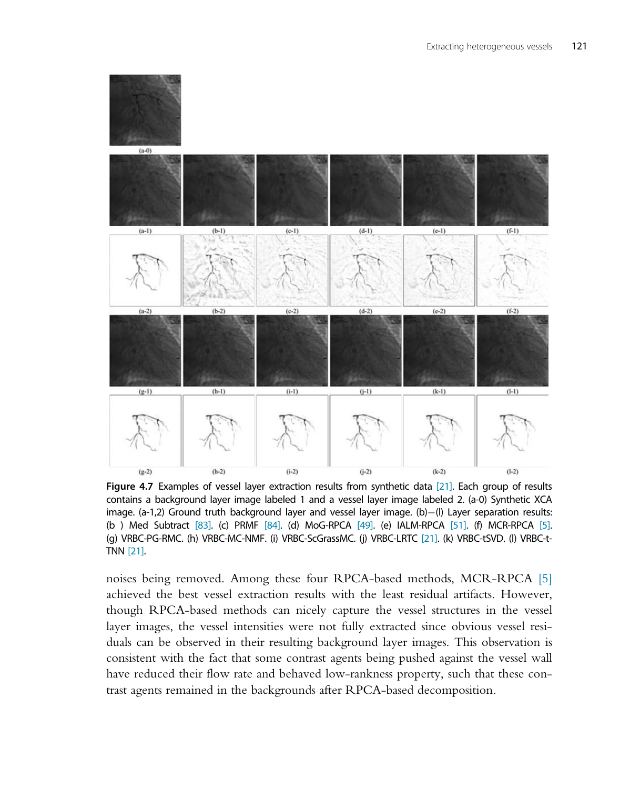

Figure 4.7 Examples of vessel layer extraction results from synthetic data [21]. Each group of results contains a background layer image labeled 1 and a vessel layer image labeled 2. (a-0) Synthetic XCA image. (a-1,2) Ground truth background layer and vessel layer image. (b)-(l) Layer separation results: (b ) Med Subtract [83]. (c) PRMF [84]. (d) MoG-RPCA [49]. (e) IALM-RPCA [51]. (f) MCR-RPCA [5]. (g) VRBC-PG-RMC. (h) VRBC-MC-NMF. (i) VRBC-ScGrassMC. (j) VRBC-LRTC [21]. (k) VRBC-tSVD. (l) VRBC-t-TNN [21].

noises being removed. Among these four RPCA-based methods, MCR-RPCA [5] achieved the best vessel extraction results with the least residual artifacts. However, though RPCA-based methods can nicely capture the vessel structures in the vessel layer images, the vessel intensities were not fully extracted since obvious vessel residuals can be observed in their resulting background layer images. This observation is consistent with the fact that some contrast agents being pushed against the vessel wall have reduced their flow rate and behaved low-rankness property, such that these contrast agents remained in the backgrounds after RPCA-based decomposition.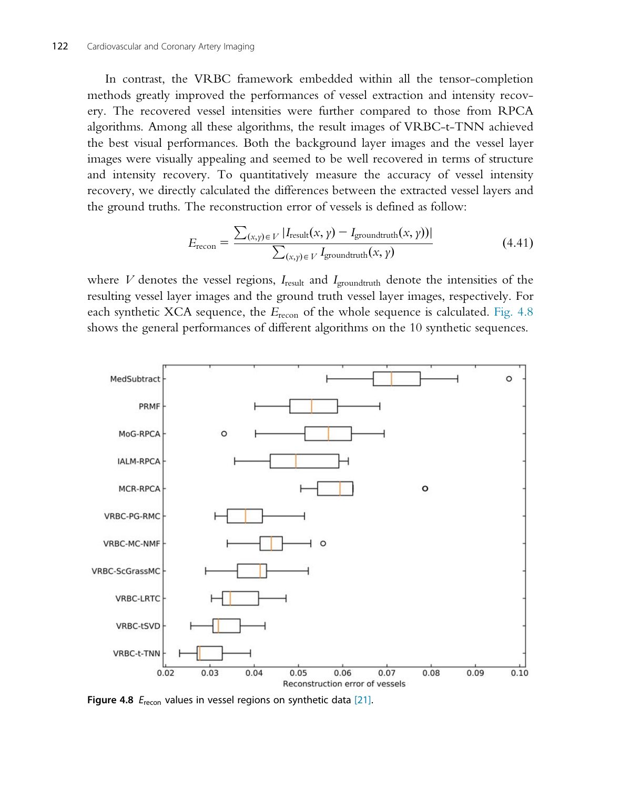In contrast, the VRBC framework embedded within all the tensor-completion methods greatly improved the performances of vessel extraction and intensity recovery. The recovered vessel intensities were further compared to those from RPCA algorithms. Among all these algorithms, the result images of VRBC-t-TNN achieved the best visual performances. Both the background layer images and the vessel layer images were visually appealing and seemed to be well recovered in terms of structure and intensity recovery. To quantitatively measure the accuracy of vessel intensity recovery, we directly calculated the differences between the extracted vessel layers and the ground truths. The reconstruction error of vessels is defined as follow:

$$
E_{\text{recon}} = \frac{\sum_{(x,y)\in V} |I_{\text{result}}(x,\gamma) - I_{\text{groundtruth}}(x,\gamma)|}{\sum_{(x,y)\in V} I_{\text{groundtruth}}(x,\gamma)}
$$
(4.41)

where V denotes the vessel regions,  $I_{\text{result}}$  and  $I_{\text{ground truth}}$  denote the intensities of the resulting vessel layer images and the ground truth vessel layer images, respectively. For each synthetic XCA sequence, the  $E_{\text{recon}}$  of the whole sequence is calculated. Fig. 4.8 shows the general performances of different algorithms on the 10 synthetic sequences.



Figure 4.8  $E_{\text{recon}}$  values in vessel regions on synthetic data [21].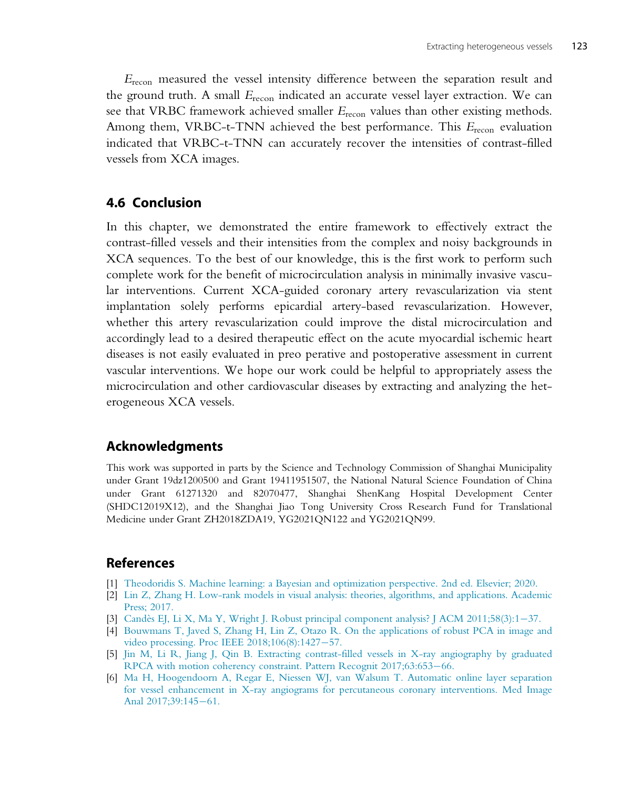$E_{\text{recon}}$  measured the vessel intensity difference between the separation result and the ground truth. A small  $E_{\text{recon}}$  indicated an accurate vessel layer extraction. We can see that VRBC framework achieved smaller  $E_{\text{recon}}$  values than other existing methods. Among them, VRBC-t-TNN achieved the best performance. This  $E_{\text{recon}}$  evaluation indicated that VRBC-t-TNN can accurately recover the intensities of contrast-filled vessels from XCA images.

## 4.6 Conclusion

In this chapter, we demonstrated the entire framework to effectively extract the contrast-filled vessels and their intensities from the complex and noisy backgrounds in XCA sequences. To the best of our knowledge, this is the first work to perform such complete work for the benefit of microcirculation analysis in minimally invasive vascular interventions. Current XCA-guided coronary artery revascularization via stent implantation solely performs epicardial artery-based revascularization. However, whether this artery revascularization could improve the distal microcirculation and accordingly lead to a desired therapeutic effect on the acute myocardial ischemic heart diseases is not easily evaluated in preo perative and postoperative assessment in current vascular interventions. We hope our work could be helpful to appropriately assess the microcirculation and other cardiovascular diseases by extracting and analyzing the heterogeneous XCA vessels.

## Acknowledgments

This work was supported in parts by the Science and Technology Commission of Shanghai Municipality under Grant 19dz1200500 and Grant 19411951507, the National Natural Science Foundation of China under Grant 61271320 and 82070477, Shanghai ShenKang Hospital Development Center (SHDC12019X12), and the Shanghai Jiao Tong University Cross Research Fund for Translational Medicine under Grant ZH2018ZDA19, YG2021QN122 and YG2021QN99.

## References

- [1] [Theodoridis S. Machine learning: a Bayesian and optimization perspective. 2nd ed. Elsevier; 2020.](http://refhub.elsevier.com/B978-0-12-822706-0.00008-1/sbref0005)
- [2] [Lin Z, Zhang H. Low-rank models in visual analysis: theories, algorithms, and applications. Academic](http://refhub.elsevier.com/B978-0-12-822706-0.00008-1/sbref0010) [Press; 2017.](http://refhub.elsevier.com/B978-0-12-822706-0.00008-1/sbref0010)
- [3] Candès EJ, Li X, Ma Y, Wright J. Robust principal component analysis? J ACM  $2011;58(3):1-37$ .
- [4] [Bouwmans T, Javed S, Zhang H, Lin Z, Otazo R. On the applications of robust PCA in image and](http://refhub.elsevier.com/B978-0-12-822706-0.00008-1/sbref0020) video processing. Proc IEEE  $2018;106(8):1427-57$ .
- [5] [Jin M, Li R, Jiang J, Qin B. Extracting contrast-filled vessels in X-ray angiography by graduated](http://refhub.elsevier.com/B978-0-12-822706-0.00008-1/sbref0025) [RPCA with motion coherency constraint. Pattern Recognit 2017;63:653](http://refhub.elsevier.com/B978-0-12-822706-0.00008-1/sbref0025)-[66.](http://refhub.elsevier.com/B978-0-12-822706-0.00008-1/sbref0025)
- [6] [Ma H, Hoogendoorn A, Regar E, Niessen WJ, van Walsum T. Automatic online layer separation](http://refhub.elsevier.com/B978-0-12-822706-0.00008-1/sbref0030) [for vessel enhancement in X-ray angiograms for percutaneous coronary interventions. Med Image](http://refhub.elsevier.com/B978-0-12-822706-0.00008-1/sbref0030) [Anal 2017;39:145](http://refhub.elsevier.com/B978-0-12-822706-0.00008-1/sbref0030)-[61.](http://refhub.elsevier.com/B978-0-12-822706-0.00008-1/sbref0030)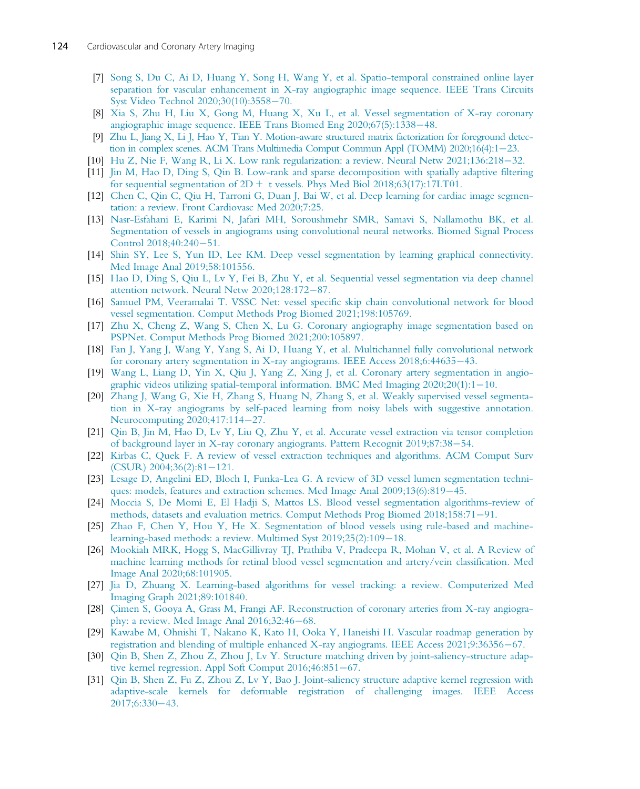- [7] [Song S, Du C, Ai D, Huang Y, Song H, Wang Y, et al. Spatio-temporal constrained online layer](http://refhub.elsevier.com/B978-0-12-822706-0.00008-1/sbref0035) [separation for vascular enhancement in X-ray angiographic image sequence. IEEE Trans Circuits](http://refhub.elsevier.com/B978-0-12-822706-0.00008-1/sbref0035) [Syst Video Technol 2020;30\(10\):3558](http://refhub.elsevier.com/B978-0-12-822706-0.00008-1/sbref0035)-[70.](http://refhub.elsevier.com/B978-0-12-822706-0.00008-1/sbref0035)
- [8] [Xia S, Zhu H, Liu X, Gong M, Huang X, Xu L, et al. Vessel segmentation of X-ray coronary](http://refhub.elsevier.com/B978-0-12-822706-0.00008-1/sbref0040) [angiographic image sequence. IEEE Trans Biomed Eng 2020;67\(5\):1338](http://refhub.elsevier.com/B978-0-12-822706-0.00008-1/sbref0040)-[48.](http://refhub.elsevier.com/B978-0-12-822706-0.00008-1/sbref0040)
- [9] [Zhu L, Jiang X, Li J, Hao Y, Tian Y. Motion-aware structured matrix factorization for foreground detec](http://refhub.elsevier.com/B978-0-12-822706-0.00008-1/sbref0045)[tion in complex scenes. ACM Trans Multimedia Comput Commun Appl \(TOMM\) 2020;16\(4\):1](http://refhub.elsevier.com/B978-0-12-822706-0.00008-1/sbref0045)-[23.](http://refhub.elsevier.com/B978-0-12-822706-0.00008-1/sbref0045)
- [10] Hu Z, Nie F, Wang R, Li X. Low rank regularization: a review. Neural Netw  $2021;136:218-32$ .
- [11] [Jin M, Hao D, Ding S, Qin B. Low-rank and sparse decomposition with spatially adaptive filtering](http://refhub.elsevier.com/B978-0-12-822706-0.00008-1/sbref0055) for sequential segmentation of  $2D + t$  vessels. Phys Med Biol 2018;63(17):17LT01.
- [12] [Chen C, Qin C, Qiu H, Tarroni G, Duan J, Bai W, et al. Deep learning for cardiac image segmen](http://refhub.elsevier.com/B978-0-12-822706-0.00008-1/sbref0060)[tation: a review. Front Cardiovasc Med 2020;7:25.](http://refhub.elsevier.com/B978-0-12-822706-0.00008-1/sbref0060)
- [13] [Nasr-Esfahani E, Karimi N, Jafari MH, Soroushmehr SMR, Samavi S, Nallamothu BK, et al.](http://refhub.elsevier.com/B978-0-12-822706-0.00008-1/sbref0065) [Segmentation of vessels in angiograms using convolutional neural networks. Biomed Signal Process](http://refhub.elsevier.com/B978-0-12-822706-0.00008-1/sbref0065) Control  $2018;40:240-51$ .
- [14] [Shin SY, Lee S, Yun ID, Lee KM. Deep vessel segmentation by learning graphical connectivity.](http://refhub.elsevier.com/B978-0-12-822706-0.00008-1/sbref0070) [Med Image Anal 2019;58:101556.](http://refhub.elsevier.com/B978-0-12-822706-0.00008-1/sbref0070)
- [15] [Hao D, Ding S, Qiu L, Lv Y, Fei B, Zhu Y, et al. Sequential vessel segmentation via deep channel](http://refhub.elsevier.com/B978-0-12-822706-0.00008-1/sbref0075) [attention network. Neural Netw 2020;128:172](http://refhub.elsevier.com/B978-0-12-822706-0.00008-1/sbref0075)-[87.](http://refhub.elsevier.com/B978-0-12-822706-0.00008-1/sbref0075)
- [16] [Samuel PM, Veeramalai T. VSSC Net: vessel specific skip chain convolutional network for blood](http://refhub.elsevier.com/B978-0-12-822706-0.00008-1/sbref0080) [vessel segmentation. Comput Methods Prog Biomed 2021;198:105769.](http://refhub.elsevier.com/B978-0-12-822706-0.00008-1/sbref0080)
- [17] [Zhu X, Cheng Z, Wang S, Chen X, Lu G. Coronary angiography image segmentation based on](http://refhub.elsevier.com/B978-0-12-822706-0.00008-1/sbref0085) [PSPNet. Comput Methods Prog Biomed 2021;200:105897.](http://refhub.elsevier.com/B978-0-12-822706-0.00008-1/sbref0085)
- [18] [Fan J, Yang J, Wang Y, Yang S, Ai D, Huang Y, et al. Multichannel fully convolutional network](http://refhub.elsevier.com/B978-0-12-822706-0.00008-1/sbref0090) [for coronary artery segmentation in X-ray angiograms. IEEE Access 2018;6:44635](http://refhub.elsevier.com/B978-0-12-822706-0.00008-1/sbref0090)-[43.](http://refhub.elsevier.com/B978-0-12-822706-0.00008-1/sbref0090)
- [19] [Wang L, Liang D, Yin X, Qiu J, Yang Z, Xing J, et al. Coronary artery segmentation in angio](http://refhub.elsevier.com/B978-0-12-822706-0.00008-1/sbref0095)graphic videos utilizing spatial-temporal information. BMC Med Imaging  $2020;20(1):1-10$ .
- [20] [Zhang J, Wang G, Xie H, Zhang S, Huang N, Zhang S, et al. Weakly supervised vessel segmenta](http://refhub.elsevier.com/B978-0-12-822706-0.00008-1/sbref0100)[tion in X-ray angiograms by self-paced learning from noisy labels with suggestive annotation.](http://refhub.elsevier.com/B978-0-12-822706-0.00008-1/sbref0100) [Neurocomputing 2020;417:114](http://refhub.elsevier.com/B978-0-12-822706-0.00008-1/sbref0100)-[27.](http://refhub.elsevier.com/B978-0-12-822706-0.00008-1/sbref0100)
- [21] [Qin B, Jin M, Hao D, Lv Y, Liu Q, Zhu Y, et al. Accurate vessel extraction via tensor completion](http://refhub.elsevier.com/B978-0-12-822706-0.00008-1/sbref0105) [of background layer in X-ray coronary angiograms. Pattern Recognit 2019;87:38](http://refhub.elsevier.com/B978-0-12-822706-0.00008-1/sbref0105)–[54.](http://refhub.elsevier.com/B978-0-12-822706-0.00008-1/sbref0105)
- [22] [Kirbas C, Quek F. A review of vessel extraction techniques and algorithms. ACM Comput Surv](http://refhub.elsevier.com/B978-0-12-822706-0.00008-1/sbref0110)  $(CSUR)$  2004;36(2):81-[121.](http://refhub.elsevier.com/B978-0-12-822706-0.00008-1/sbref0110)
- [23] [Lesage D, Angelini ED, Bloch I, Funka-Lea G. A review of 3D vessel lumen segmentation techni](http://refhub.elsevier.com/B978-0-12-822706-0.00008-1/sbref0115)[ques: models, features and extraction schemes. Med Image Anal 2009;13\(6\):819](http://refhub.elsevier.com/B978-0-12-822706-0.00008-1/sbref0115)–[45.](http://refhub.elsevier.com/B978-0-12-822706-0.00008-1/sbref0115)
- [24] [Moccia S, De Momi E, El Hadji S, Mattos LS. Blood vessel segmentation algorithms-review of](http://refhub.elsevier.com/B978-0-12-822706-0.00008-1/sbref0120) [methods, datasets and evaluation metrics. Comput Methods Prog Biomed 2018;158:71](http://refhub.elsevier.com/B978-0-12-822706-0.00008-1/sbref0120)–[91.](http://refhub.elsevier.com/B978-0-12-822706-0.00008-1/sbref0120)
- [25] [Zhao F, Chen Y, Hou Y, He X. Segmentation of blood vessels using rule-based and machine](http://refhub.elsevier.com/B978-0-12-822706-0.00008-1/sbref0125)[learning-based methods: a review. Multimed Syst 2019;25\(2\):109](http://refhub.elsevier.com/B978-0-12-822706-0.00008-1/sbref0125)-[18.](http://refhub.elsevier.com/B978-0-12-822706-0.00008-1/sbref0125)
- [26] [Mookiah MRK, Hogg S, MacGillivray TJ, Prathiba V, Pradeepa R, Mohan V, et al. A Review of](http://refhub.elsevier.com/B978-0-12-822706-0.00008-1/sbref0130) [machine learning methods for retinal blood vessel segmentation and artery/vein classification. Med](http://refhub.elsevier.com/B978-0-12-822706-0.00008-1/sbref0130) [Image Anal 2020;68:101905.](http://refhub.elsevier.com/B978-0-12-822706-0.00008-1/sbref0130)
- [27] [Jia D, Zhuang X. Learning-based algorithms for vessel tracking: a review. Computerized Med](http://refhub.elsevier.com/B978-0-12-822706-0.00008-1/sbref0135) [Imaging Graph 2021;89:101840.](http://refhub.elsevier.com/B978-0-12-822706-0.00008-1/sbref0135)
- [28] [Çimen S, Gooya A, Grass M, Frangi AF. Reconstruction of coronary arteries from X-ray angiogra](http://refhub.elsevier.com/B978-0-12-822706-0.00008-1/sbref0140)phy: a review. Med Image Anal  $2016;32:46-68$ .
- [29] [Kawabe M, Ohnishi T, Nakano K, Kato H, Ooka Y, Haneishi H. Vascular roadmap generation by](http://refhub.elsevier.com/B978-0-12-822706-0.00008-1/sbref0145) [registration and blending of multiple enhanced X-ray angiograms. IEEE Access 2021;9:36356](http://refhub.elsevier.com/B978-0-12-822706-0.00008-1/sbref0145)-[67.](http://refhub.elsevier.com/B978-0-12-822706-0.00008-1/sbref0145)
- [30] [Qin B, Shen Z, Zhou Z, Zhou J, Lv Y. Structure matching driven by joint-saliency-structure adap](http://refhub.elsevier.com/B978-0-12-822706-0.00008-1/sbref0150)tive kernel regression. Appl Soft Comput  $2016;46:851-67$ .
- [31] [Qin B, Shen Z, Fu Z, Zhou Z, Lv Y, Bao J. Joint-saliency structure adaptive kernel regression with](http://refhub.elsevier.com/B978-0-12-822706-0.00008-1/sbref0155) [adaptive-scale kernels for deformable registration of challenging images. IEEE Access](http://refhub.elsevier.com/B978-0-12-822706-0.00008-1/sbref0155)  $2017;6:330-43.$  $2017;6:330-43.$  $2017;6:330-43.$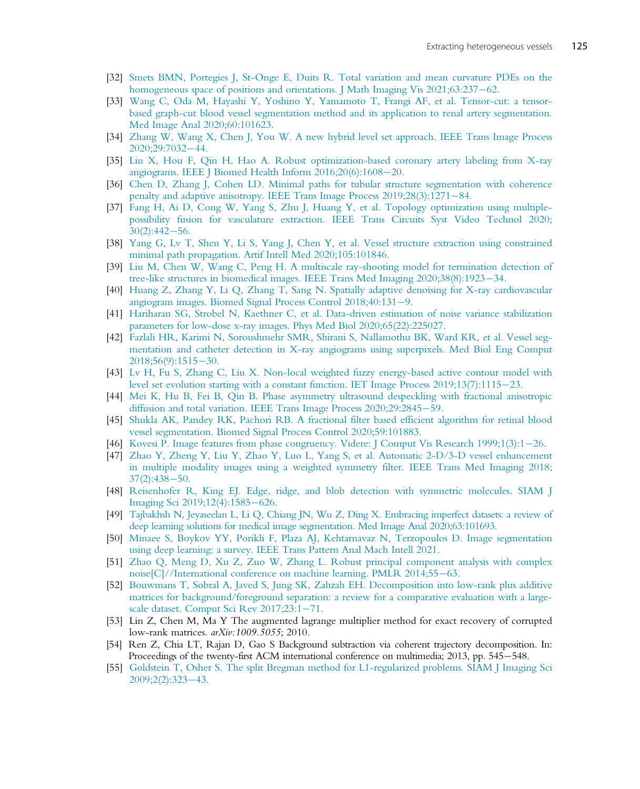- [32] [Smets BMN, Portegies J, St-Onge E, Duits R. Total variation and mean curvature PDEs on the](http://refhub.elsevier.com/B978-0-12-822706-0.00008-1/sbref0160) homogeneous space of positions and orientations. J Math Imaging Vis  $2021$ ;63:237–[62.](http://refhub.elsevier.com/B978-0-12-822706-0.00008-1/sbref0160)
- [33] [Wang C, Oda M, Hayashi Y, Yoshino Y, Yamamoto T, Frangi AF, et al. Tensor-cut: a tensor](http://refhub.elsevier.com/B978-0-12-822706-0.00008-1/sbref0165)[based graph-cut blood vessel segmentation method and its application to renal artery segmentation.](http://refhub.elsevier.com/B978-0-12-822706-0.00008-1/sbref0165) [Med Image Anal 2020;60:101623.](http://refhub.elsevier.com/B978-0-12-822706-0.00008-1/sbref0165)
- [34] [Zhang W, Wang X, Chen J, You W. A new hybrid level set approach. IEEE Trans Image Process](http://refhub.elsevier.com/B978-0-12-822706-0.00008-1/sbref0170) [2020;29:7032](http://refhub.elsevier.com/B978-0-12-822706-0.00008-1/sbref0170)-[44.](http://refhub.elsevier.com/B978-0-12-822706-0.00008-1/sbref0170)
- [35] [Liu X, Hou F, Qin H, Hao A. Robust optimization-based coronary artery labeling from X-ray](http://refhub.elsevier.com/B978-0-12-822706-0.00008-1/sbref0175) [angiograms. IEEE J Biomed Health Inform 2016;20\(6\):1608](http://refhub.elsevier.com/B978-0-12-822706-0.00008-1/sbref0175)-[20.](http://refhub.elsevier.com/B978-0-12-822706-0.00008-1/sbref0175)
- [36] [Chen D, Zhang J, Cohen LD. Minimal paths for tubular structure segmentation with coherence](http://refhub.elsevier.com/B978-0-12-822706-0.00008-1/sbref0180) [penalty and adaptive anisotropy. IEEE Trans Image Process 2019;28\(3\):1271](http://refhub.elsevier.com/B978-0-12-822706-0.00008-1/sbref0180)-[84.](http://refhub.elsevier.com/B978-0-12-822706-0.00008-1/sbref0180)
- [37] [Fang H, Ai D, Cong W, Yang S, Zhu J, Huang Y, et al. Topology optimization using multiple](http://refhub.elsevier.com/B978-0-12-822706-0.00008-1/sbref0185)[possibility fusion for vasculature extraction. IEEE Trans Circuits Syst Video Technol 2020;](http://refhub.elsevier.com/B978-0-12-822706-0.00008-1/sbref0185)  $30(2):442 - 56.$  $30(2):442 - 56.$  $30(2):442 - 56.$
- [38] [Yang G, Lv T, Shen Y, Li S, Yang J, Chen Y, et al. Vessel structure extraction using constrained](http://refhub.elsevier.com/B978-0-12-822706-0.00008-1/sbref0190) [minimal path propagation. Artif Intell Med 2020;105:101846.](http://refhub.elsevier.com/B978-0-12-822706-0.00008-1/sbref0190)
- [39] [Liu M, Chen W, Wang C, Peng H. A multiscale ray-shooting model for termination detection of](http://refhub.elsevier.com/B978-0-12-822706-0.00008-1/sbref0195) tree-like structures in biomedical images. IEEE Trans Med Imaging  $2020;38(8):1923-34$ .
- [40] [Huang Z, Zhang Y, Li Q, Zhang T, Sang N. Spatially adaptive denoising for X-ray cardiovascular](http://refhub.elsevier.com/B978-0-12-822706-0.00008-1/sbref0200) [angiogram images. Biomed Signal Process Control 2018;40:131](http://refhub.elsevier.com/B978-0-12-822706-0.00008-1/sbref0200)-[9.](http://refhub.elsevier.com/B978-0-12-822706-0.00008-1/sbref0200)
- [41] [Hariharan SG, Strobel N, Kaethner C, et al. Data-driven estimation of noise variance stabilization](http://refhub.elsevier.com/B978-0-12-822706-0.00008-1/sbref0205) [parameters for low-dose x-ray images. Phys Med Biol 2020;65\(22\):225027.](http://refhub.elsevier.com/B978-0-12-822706-0.00008-1/sbref0205)
- [42] [Fazlali HR, Karimi N, Soroushmehr SMR, Shirani S, Nallamothu BK, Ward KR, et al. Vessel seg](http://refhub.elsevier.com/B978-0-12-822706-0.00008-1/sbref0210)[mentation and catheter detection in X-ray angiograms using superpixels. Med Biol Eng Comput](http://refhub.elsevier.com/B978-0-12-822706-0.00008-1/sbref0210) [2018;56\(9\):1515](http://refhub.elsevier.com/B978-0-12-822706-0.00008-1/sbref0210)-[30.](http://refhub.elsevier.com/B978-0-12-822706-0.00008-1/sbref0210)
- [43] [Lv H, Fu S, Zhang C, Liu X. Non-local weighted fuzzy energy-based active contour model with](http://refhub.elsevier.com/B978-0-12-822706-0.00008-1/sbref0215) [level set evolution starting with a constant function. IET Image Process 2019;13\(7\):1115](http://refhub.elsevier.com/B978-0-12-822706-0.00008-1/sbref0215)-[23.](http://refhub.elsevier.com/B978-0-12-822706-0.00008-1/sbref0215)
- [44] [Mei K, Hu B, Fei B, Qin B. Phase asymmetry ultrasound despeckling with fractional anisotropic](http://refhub.elsevier.com/B978-0-12-822706-0.00008-1/sbref0220) [diffusion and total variation. IEEE Trans Image Process 2020;29:2845](http://refhub.elsevier.com/B978-0-12-822706-0.00008-1/sbref0220)-[59.](http://refhub.elsevier.com/B978-0-12-822706-0.00008-1/sbref0220)
- [45] [Shukla AK, Pandey RK, Pachori RB. A fractional filter based efficient algorithm for retinal blood](http://refhub.elsevier.com/B978-0-12-822706-0.00008-1/sbref0225) [vessel segmentation. Biomed Signal Process Control 2020;59:101883.](http://refhub.elsevier.com/B978-0-12-822706-0.00008-1/sbref0225)
- [46] [Kovesi P. Image features from phase congruency. Videre: J Comput Vis Research 1999;1\(3\):1](http://refhub.elsevier.com/B978-0-12-822706-0.00008-1/sbref0230)–[26.](http://refhub.elsevier.com/B978-0-12-822706-0.00008-1/sbref0230)
- [47] [Zhao Y, Zheng Y, Liu Y, Zhao Y, Luo L, Yang S, et al. Automatic 2-D/3-D vessel enhancement](http://refhub.elsevier.com/B978-0-12-822706-0.00008-1/sbref0235) [in multiple modality images using a weighted symmetry filter. IEEE Trans Med Imaging 2018;](http://refhub.elsevier.com/B978-0-12-822706-0.00008-1/sbref0235)  $37(2):438-50.$  $37(2):438-50.$  $37(2):438-50.$
- [48] [Reisenhofer R, King EJ. Edge, ridge, and blob detection with symmetric molecules. SIAM J](http://refhub.elsevier.com/B978-0-12-822706-0.00008-1/sbref0240) [Imaging Sci 2019;12\(4\):1585](http://refhub.elsevier.com/B978-0-12-822706-0.00008-1/sbref0240)-[626.](http://refhub.elsevier.com/B978-0-12-822706-0.00008-1/sbref0240)
- [49] [Tajbakhsh N, Jeyaseelan L, Li Q, Chiang JN, Wu Z, Ding X. Embracing imperfect datasets: a review of](http://refhub.elsevier.com/B978-0-12-822706-0.00008-1/sbref0245) [deep learning solutions for medical image segmentation. Med Image Anal 2020;63:101693.](http://refhub.elsevier.com/B978-0-12-822706-0.00008-1/sbref0245)
- [50] [Minaee S, Boykov YY, Porikli F, Plaza AJ, Kehtarnavaz N, Terzopoulos D. Image segmentation](http://refhub.elsevier.com/B978-0-12-822706-0.00008-1/sbref0250) [using deep learning: a survey. IEEE Trans Pattern Anal Mach Intell 2021.](http://refhub.elsevier.com/B978-0-12-822706-0.00008-1/sbref0250)
- [51] [Zhao Q, Meng D, Xu Z, Zuo W, Zhang L. Robust principal component analysis with complex](http://refhub.elsevier.com/B978-0-12-822706-0.00008-1/sbref0255) [noise\[C\]//International conference on machine learning. PMLR 2014;55](http://refhub.elsevier.com/B978-0-12-822706-0.00008-1/sbref0255)-[63.](http://refhub.elsevier.com/B978-0-12-822706-0.00008-1/sbref0255)
- [52] [Bouwmans T, Sobral A, Javed S, Jung SK, Zahzah EH. Decomposition into low-rank plus additive](http://refhub.elsevier.com/B978-0-12-822706-0.00008-1/sbref0260) [matrices for background/foreground separation: a review for a comparative evaluation with a large](http://refhub.elsevier.com/B978-0-12-822706-0.00008-1/sbref0260)[scale dataset. Comput Sci Rev 2017;23:1](http://refhub.elsevier.com/B978-0-12-822706-0.00008-1/sbref0260)-[71.](http://refhub.elsevier.com/B978-0-12-822706-0.00008-1/sbref0260)
- [53] Lin Z, Chen M, Ma Y The augmented lagrange multiplier method for exact recovery of corrupted low-rank matrices. arXiv:1009.5055; 2010.
- [54] Ren Z, Chia LT, Rajan D, Gao S Background subtraction via coherent trajectory decomposition. In: Proceedings of the twenty-first ACM international conference on multimedia; 2013, pp. 545–548.
- [55] [Goldstein T, Osher S. The split Bregman method for L1-regularized problems. SIAM J Imaging Sci](http://refhub.elsevier.com/B978-0-12-822706-0.00008-1/sbref0265)  $2009;2(2):323-43.$  $2009;2(2):323-43.$  $2009;2(2):323-43.$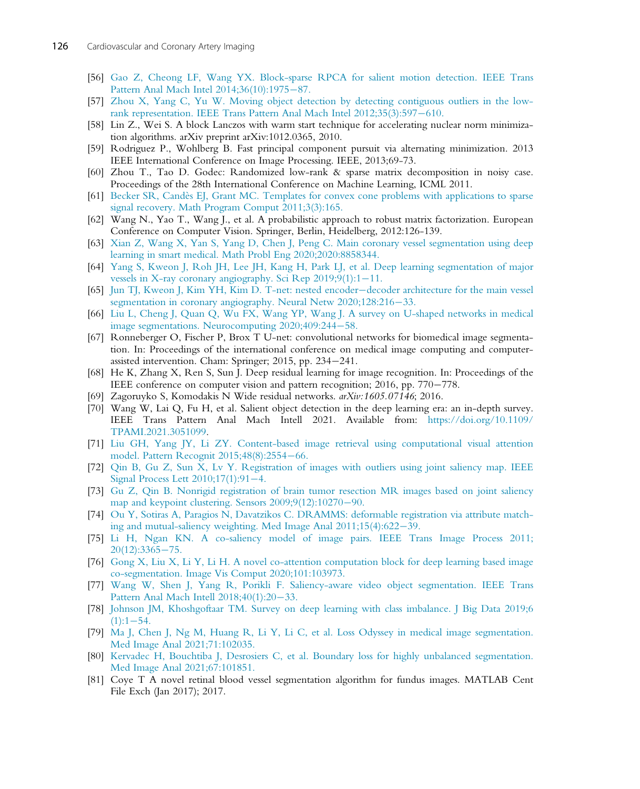- [56] [Gao Z, Cheong LF, Wang YX. Block-sparse RPCA for salient motion detection. IEEE Trans](http://refhub.elsevier.com/B978-0-12-822706-0.00008-1/sbref0270) [Pattern Anal Mach Intel 2014;36\(10\):1975](http://refhub.elsevier.com/B978-0-12-822706-0.00008-1/sbref0270)-[87.](http://refhub.elsevier.com/B978-0-12-822706-0.00008-1/sbref0270)
- [57] [Zhou X, Yang C, Yu W. Moving object detection by detecting contiguous outliers in the low](http://refhub.elsevier.com/B978-0-12-822706-0.00008-1/sbref0275)[rank representation. IEEE Trans Pattern Anal Mach Intel 2012;35\(3\):597](http://refhub.elsevier.com/B978-0-12-822706-0.00008-1/sbref0275)-[610.](http://refhub.elsevier.com/B978-0-12-822706-0.00008-1/sbref0275)
- [58] Lin Z., Wei S. A block Lanczos with warm start technique for accelerating nuclear norm minimization algorithms. arXiv preprint arXiv:1012.0365, 2010.
- [59] Rodriguez P., Wohlberg B. Fast principal component pursuit via alternating minimization. 2013 IEEE International Conference on Image Processing. IEEE, 2013;69-73.
- [60] Zhou T., Tao D. Godec: Randomized low-rank & sparse matrix decomposition in noisy case. Proceedings of the 28th International Conference on Machine Learning, ICML 2011.
- [61] [Becker SR, Candès EJ, Grant MC. Templates for convex cone problems with applications to sparse](http://refhub.elsevier.com/B978-0-12-822706-0.00008-1/sbref0280) [signal recovery. Math Program Comput 2011;3\(3\):165.](http://refhub.elsevier.com/B978-0-12-822706-0.00008-1/sbref0280)
- [62] Wang N., Yao T., Wang J., et al. A probabilistic approach to robust matrix factorization. European Conference on Computer Vision. Springer, Berlin, Heidelberg, 2012:126-139.
- [63] [Xian Z, Wang X, Yan S, Yang D, Chen J, Peng C. Main coronary vessel segmentation using deep](http://refhub.elsevier.com/B978-0-12-822706-0.00008-1/sbref0285) [learning in smart medical. Math Probl Eng 2020;2020:8858344.](http://refhub.elsevier.com/B978-0-12-822706-0.00008-1/sbref0285)
- [64] [Yang S, Kweon J, Roh JH, Lee JH, Kang H, Park LJ, et al. Deep learning segmentation of major](http://refhub.elsevier.com/B978-0-12-822706-0.00008-1/sbref0290) [vessels in X-ray coronary angiography. Sci Rep 2019;9\(1\):1](http://refhub.elsevier.com/B978-0-12-822706-0.00008-1/sbref0290)-[11.](http://refhub.elsevier.com/B978-0-12-822706-0.00008-1/sbref0290)
- [65] [Jun TJ, Kweon J, Kim YH, Kim D. T-net: nested encoder](http://refhub.elsevier.com/B978-0-12-822706-0.00008-1/sbref0295)-[decoder architecture for the main vessel](http://refhub.elsevier.com/B978-0-12-822706-0.00008-1/sbref0295) [segmentation in coronary angiography. Neural Netw 2020;128:216](http://refhub.elsevier.com/B978-0-12-822706-0.00008-1/sbref0295)-[33.](http://refhub.elsevier.com/B978-0-12-822706-0.00008-1/sbref0295)
- [66] [Liu L, Cheng J, Quan Q, Wu FX, Wang YP, Wang J. A survey on U-shaped networks in medical](http://refhub.elsevier.com/B978-0-12-822706-0.00008-1/sbref0300) [image segmentations. Neurocomputing 2020;409:244](http://refhub.elsevier.com/B978-0-12-822706-0.00008-1/sbref0300)-[58.](http://refhub.elsevier.com/B978-0-12-822706-0.00008-1/sbref0300)
- [67] Ronneberger O, Fischer P, Brox T U-net: convolutional networks for biomedical image segmentation. In: Proceedings of the international conference on medical image computing and computerassisted intervention. Cham: Springer; 2015, pp. 234-241.
- [68] He K, Zhang X, Ren S, Sun J. Deep residual learning for image recognition. In: Proceedings of the IEEE conference on computer vision and pattern recognition;  $2016$ , pp.  $770-778$ .
- [69] Zagoruyko S, Komodakis N Wide residual networks. arXiv:1605.07146; 2016.
- [70] Wang W, Lai Q, Fu H, et al. Salient object detection in the deep learning era: an in-depth survey. IEEE Trans Pattern Anal Mach Intell 2021. Available from: [https://doi.org/10.1109/](https://doi.org/10.1109/TPAMI.2021.3051099) [TPAMI.2021.3051099](https://doi.org/10.1109/TPAMI.2021.3051099).
- [71] [Liu GH, Yang JY, Li ZY. Content-based image retrieval using computational visual attention](http://refhub.elsevier.com/B978-0-12-822706-0.00008-1/sbref0310) [model. Pattern Recognit 2015;48\(8\):2554](http://refhub.elsevier.com/B978-0-12-822706-0.00008-1/sbref0310)-[66.](http://refhub.elsevier.com/B978-0-12-822706-0.00008-1/sbref0310)
- [72] [Qin B, Gu Z, Sun X, Lv Y. Registration of images with outliers using joint saliency map. IEEE](http://refhub.elsevier.com/B978-0-12-822706-0.00008-1/sbref0315) [Signal Process Lett 2010;17\(1\):91](http://refhub.elsevier.com/B978-0-12-822706-0.00008-1/sbref0315)-[4.](http://refhub.elsevier.com/B978-0-12-822706-0.00008-1/sbref0315)
- [73] [Gu Z, Qin B. Nonrigid registration of brain tumor resection MR images based on joint saliency](http://refhub.elsevier.com/B978-0-12-822706-0.00008-1/sbref0320) map and keypoint clustering. Sensors  $2009;9(12):10270-90$ .
- [74] [Ou Y, Sotiras A, Paragios N, Davatzikos C. DRAMMS: deformable registration via attribute match](http://refhub.elsevier.com/B978-0-12-822706-0.00008-1/sbref0325)ing and mutual-saliency weighting. Med Image Anal  $2011;15(4):622-39$ .
- [75] [Li H, Ngan KN. A co-saliency model of image pairs. IEEE Trans Image Process 2011;](http://refhub.elsevier.com/B978-0-12-822706-0.00008-1/sbref0330)  $20(12):3365 - 75.$  $20(12):3365 - 75.$  $20(12):3365 - 75.$
- [76] [Gong X, Liu X, Li Y, Li H. A novel co-attention computation block for deep learning based image](http://refhub.elsevier.com/B978-0-12-822706-0.00008-1/sbref0335) [co-segmentation. Image Vis Comput 2020;101:103973.](http://refhub.elsevier.com/B978-0-12-822706-0.00008-1/sbref0335)
- [77] [Wang W, Shen J, Yang R, Porikli F. Saliency-aware video object segmentation. IEEE Trans](http://refhub.elsevier.com/B978-0-12-822706-0.00008-1/sbref0340) Pattern Anal Mach Intell  $2018;40(1):20-33$ .
- [78] [Johnson JM, Khoshgoftaar TM. Survey on deep learning with class imbalance. J Big Data 2019;6](http://refhub.elsevier.com/B978-0-12-822706-0.00008-1/sbref0345)  $(1):1-54.$  $(1):1-54.$  $(1):1-54.$
- [79] [Ma J, Chen J, Ng M, Huang R, Li Y, Li C, et al. Loss Odyssey in medical image segmentation.](http://refhub.elsevier.com/B978-0-12-822706-0.00008-1/sbref0350) [Med Image Anal 2021;71:102035.](http://refhub.elsevier.com/B978-0-12-822706-0.00008-1/sbref0350)
- [80] [Kervadec H, Bouchtiba J, Desrosiers C, et al. Boundary loss for highly unbalanced segmentation.](http://refhub.elsevier.com/B978-0-12-822706-0.00008-1/sbref0355) [Med Image Anal 2021;67:101851.](http://refhub.elsevier.com/B978-0-12-822706-0.00008-1/sbref0355)
- [81] Coye T A novel retinal blood vessel segmentation algorithm for fundus images. MATLAB Cent File Exch (Jan 2017); 2017.